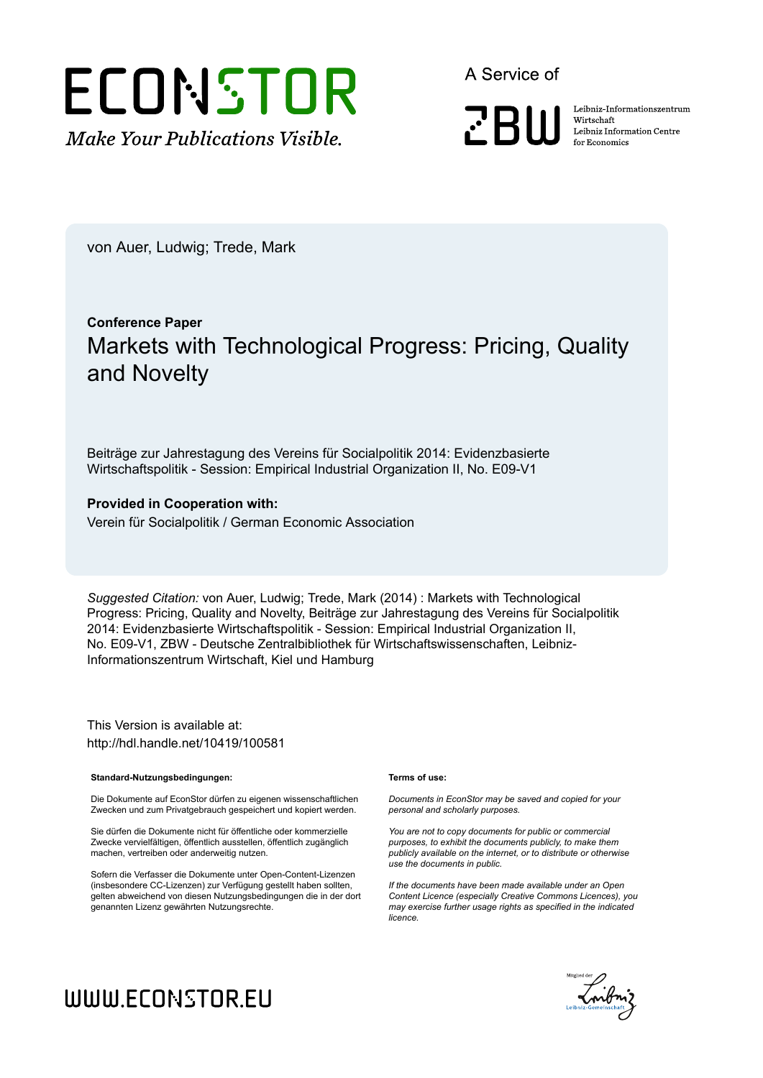# ECONSTOR **Make Your Publications Visible.**

A Service of

**PRIII** 

Leibniz Informationszentrum Wirtschaft Leibniz Information Centre for Economics

von Auer, Ludwig; Trede, Mark

## **Conference Paper** Markets with Technological Progress: Pricing, Quality and Novelty

Beiträge zur Jahrestagung des Vereins für Socialpolitik 2014: Evidenzbasierte Wirtschaftspolitik - Session: Empirical Industrial Organization II, No. E09-V1

#### **Provided in Cooperation with:**

Verein für Socialpolitik / German Economic Association

*Suggested Citation:* von Auer, Ludwig; Trede, Mark (2014) : Markets with Technological Progress: Pricing, Quality and Novelty, Beiträge zur Jahrestagung des Vereins für Socialpolitik 2014: Evidenzbasierte Wirtschaftspolitik - Session: Empirical Industrial Organization II, No. E09-V1, ZBW - Deutsche Zentralbibliothek für Wirtschaftswissenschaften, Leibniz-Informationszentrum Wirtschaft, Kiel und Hamburg

This Version is available at: http://hdl.handle.net/10419/100581

#### **Standard-Nutzungsbedingungen:**

Die Dokumente auf EconStor dürfen zu eigenen wissenschaftlichen Zwecken und zum Privatgebrauch gespeichert und kopiert werden.

Sie dürfen die Dokumente nicht für öffentliche oder kommerzielle Zwecke vervielfältigen, öffentlich ausstellen, öffentlich zugänglich machen, vertreiben oder anderweitig nutzen.

Sofern die Verfasser die Dokumente unter Open-Content-Lizenzen (insbesondere CC-Lizenzen) zur Verfügung gestellt haben sollten, gelten abweichend von diesen Nutzungsbedingungen die in der dort genannten Lizenz gewährten Nutzungsrechte.

#### **Terms of use:**

*Documents in EconStor may be saved and copied for your personal and scholarly purposes.*

*You are not to copy documents for public or commercial purposes, to exhibit the documents publicly, to make them publicly available on the internet, or to distribute or otherwise use the documents in public.*

*If the documents have been made available under an Open Content Licence (especially Creative Commons Licences), you may exercise further usage rights as specified in the indicated licence.*



# WWW.ECONSTOR.EU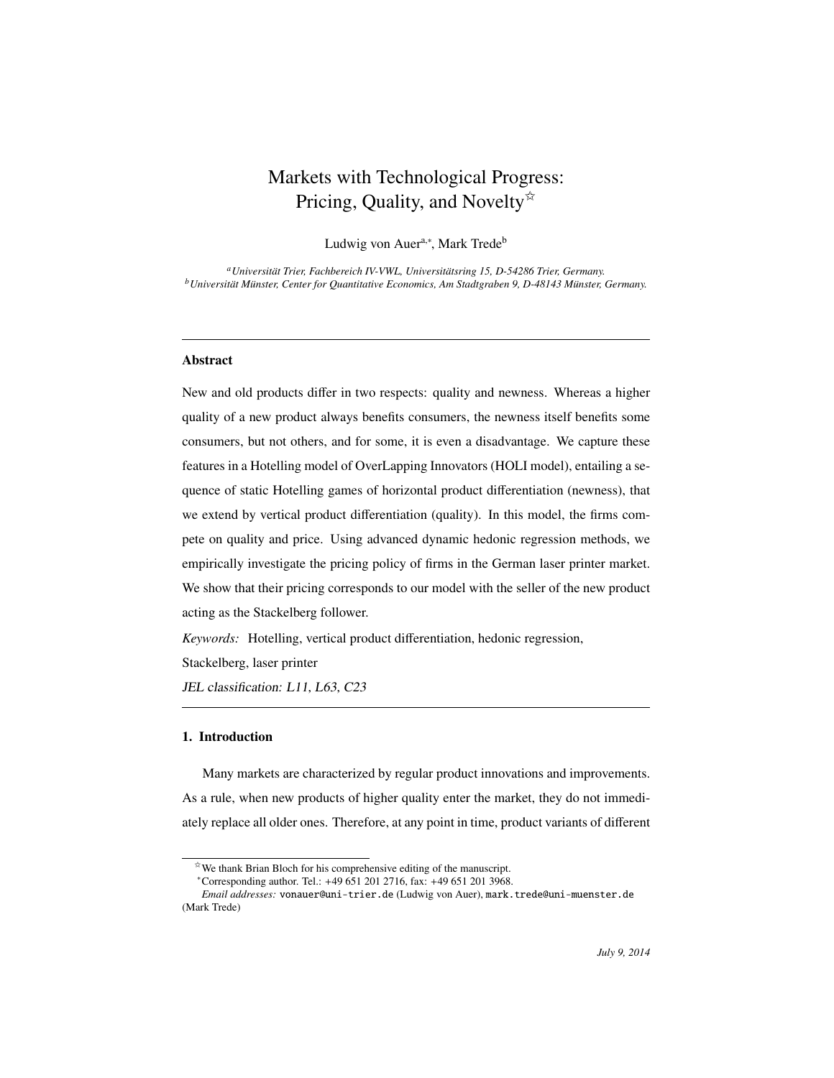### Markets with Technological Progress: Pricing, Quality, and Novelty $\overrightarrow{x}$

Ludwig von Auer<sup>a,∗</sup>, Mark Trede<sup>b</sup>

<sup>a</sup> Universität Trier, Fachbereich IV-VWL, Universitätsring 15, D-54286 Trier, Germany. *b* Universität Münster, Center for Quantitative Economics, Am Stadtgraben 9, D-48143 Münster, Germany.

#### Abstract

New and old products differ in two respects: quality and newness. Whereas a higher quality of a new product always benefits consumers, the newness itself benefits some consumers, but not others, and for some, it is even a disadvantage. We capture these features in a Hotelling model of OverLapping Innovators (HOLI model), entailing a sequence of static Hotelling games of horizontal product differentiation (newness), that we extend by vertical product differentiation (quality). In this model, the firms compete on quality and price. Using advanced dynamic hedonic regression methods, we empirically investigate the pricing policy of firms in the German laser printer market. We show that their pricing corresponds to our model with the seller of the new product acting as the Stackelberg follower.

*Keywords:* Hotelling, vertical product differentiation, hedonic regression,

Stackelberg, laser printer

JEL classification: L11, L63, C23

#### 1. Introduction

Many markets are characterized by regular product innovations and improvements. As a rule, when new products of higher quality enter the market, they do not immediately replace all older ones. Therefore, at any point in time, product variants of different

 $\overrightarrow{v}$  We thank Brian Bloch for his comprehensive editing of the manuscript.

<sup>∗</sup>Corresponding author. Tel.: +49 651 201 2716, fax: +49 651 201 3968.

*Email addresses:* vonauer@uni-trier.de (Ludwig von Auer), mark.trede@uni-muenster.de (Mark Trede)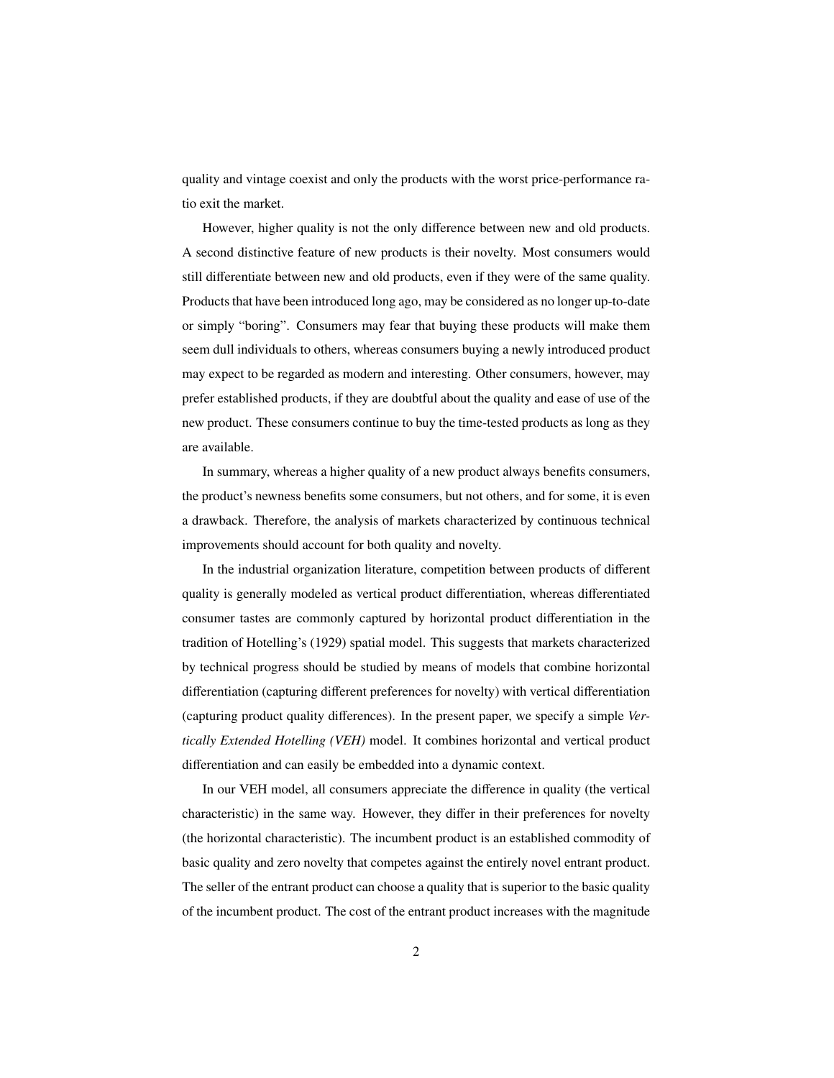quality and vintage coexist and only the products with the worst price-performance ratio exit the market.

However, higher quality is not the only difference between new and old products. A second distinctive feature of new products is their novelty. Most consumers would still differentiate between new and old products, even if they were of the same quality. Products that have been introduced long ago, may be considered as no longer up-to-date or simply "boring". Consumers may fear that buying these products will make them seem dull individuals to others, whereas consumers buying a newly introduced product may expect to be regarded as modern and interesting. Other consumers, however, may prefer established products, if they are doubtful about the quality and ease of use of the new product. These consumers continue to buy the time-tested products as long as they are available.

In summary, whereas a higher quality of a new product always benefits consumers, the product's newness benefits some consumers, but not others, and for some, it is even a drawback. Therefore, the analysis of markets characterized by continuous technical improvements should account for both quality and novelty.

In the industrial organization literature, competition between products of different quality is generally modeled as vertical product differentiation, whereas differentiated consumer tastes are commonly captured by horizontal product differentiation in the tradition of Hotelling's (1929) spatial model. This suggests that markets characterized by technical progress should be studied by means of models that combine horizontal differentiation (capturing different preferences for novelty) with vertical differentiation (capturing product quality differences). In the present paper, we specify a simple *Vertically Extended Hotelling (VEH)* model. It combines horizontal and vertical product differentiation and can easily be embedded into a dynamic context.

In our VEH model, all consumers appreciate the difference in quality (the vertical characteristic) in the same way. However, they differ in their preferences for novelty (the horizontal characteristic). The incumbent product is an established commodity of basic quality and zero novelty that competes against the entirely novel entrant product. The seller of the entrant product can choose a quality that is superior to the basic quality of the incumbent product. The cost of the entrant product increases with the magnitude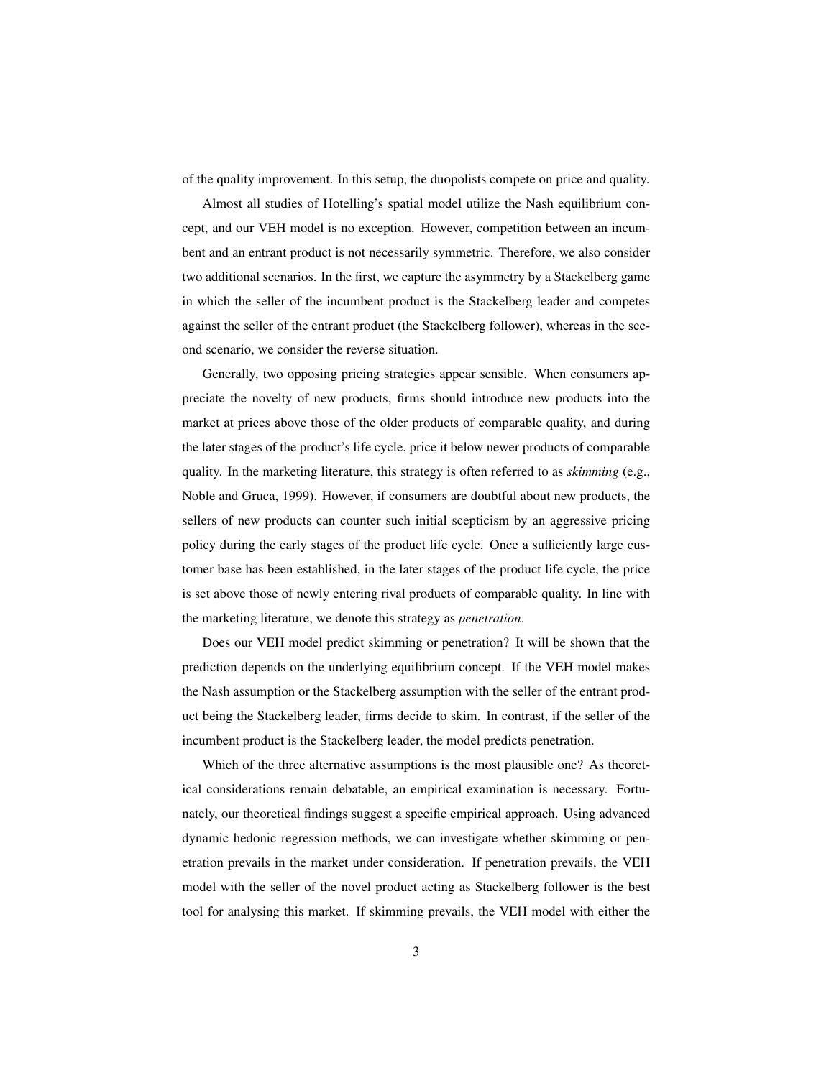of the quality improvement. In this setup, the duopolists compete on price and quality.

Almost all studies of Hotelling's spatial model utilize the Nash equilibrium concept, and our VEH model is no exception. However, competition between an incumbent and an entrant product is not necessarily symmetric. Therefore, we also consider two additional scenarios. In the first, we capture the asymmetry by a Stackelberg game in which the seller of the incumbent product is the Stackelberg leader and competes against the seller of the entrant product (the Stackelberg follower), whereas in the second scenario, we consider the reverse situation.

Generally, two opposing pricing strategies appear sensible. When consumers appreciate the novelty of new products, firms should introduce new products into the market at prices above those of the older products of comparable quality, and during the later stages of the product's life cycle, price it below newer products of comparable quality. In the marketing literature, this strategy is often referred to as *skimming* (e.g., Noble and Gruca, 1999). However, if consumers are doubtful about new products, the sellers of new products can counter such initial scepticism by an aggressive pricing policy during the early stages of the product life cycle. Once a sufficiently large customer base has been established, in the later stages of the product life cycle, the price is set above those of newly entering rival products of comparable quality. In line with the marketing literature, we denote this strategy as *penetration*.

Does our VEH model predict skimming or penetration? It will be shown that the prediction depends on the underlying equilibrium concept. If the VEH model makes the Nash assumption or the Stackelberg assumption with the seller of the entrant product being the Stackelberg leader, firms decide to skim. In contrast, if the seller of the incumbent product is the Stackelberg leader, the model predicts penetration.

Which of the three alternative assumptions is the most plausible one? As theoretical considerations remain debatable, an empirical examination is necessary. Fortunately, our theoretical findings suggest a specific empirical approach. Using advanced dynamic hedonic regression methods, we can investigate whether skimming or penetration prevails in the market under consideration. If penetration prevails, the VEH model with the seller of the novel product acting as Stackelberg follower is the best tool for analysing this market. If skimming prevails, the VEH model with either the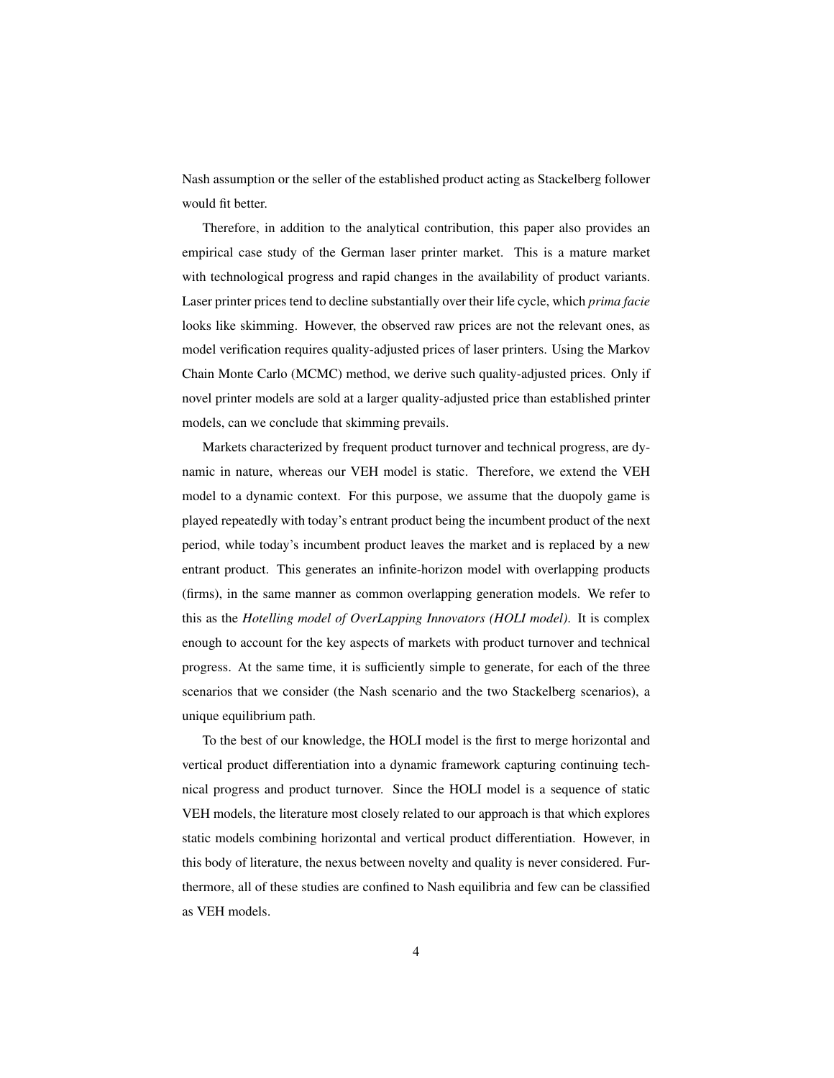Nash assumption or the seller of the established product acting as Stackelberg follower would fit better.

Therefore, in addition to the analytical contribution, this paper also provides an empirical case study of the German laser printer market. This is a mature market with technological progress and rapid changes in the availability of product variants. Laser printer prices tend to decline substantially over their life cycle, which *prima facie* looks like skimming. However, the observed raw prices are not the relevant ones, as model verification requires quality-adjusted prices of laser printers. Using the Markov Chain Monte Carlo (MCMC) method, we derive such quality-adjusted prices. Only if novel printer models are sold at a larger quality-adjusted price than established printer models, can we conclude that skimming prevails.

Markets characterized by frequent product turnover and technical progress, are dynamic in nature, whereas our VEH model is static. Therefore, we extend the VEH model to a dynamic context. For this purpose, we assume that the duopoly game is played repeatedly with today's entrant product being the incumbent product of the next period, while today's incumbent product leaves the market and is replaced by a new entrant product. This generates an infinite-horizon model with overlapping products (firms), in the same manner as common overlapping generation models. We refer to this as the *Hotelling model of OverLapping Innovators (HOLI model)*. It is complex enough to account for the key aspects of markets with product turnover and technical progress. At the same time, it is sufficiently simple to generate, for each of the three scenarios that we consider (the Nash scenario and the two Stackelberg scenarios), a unique equilibrium path.

To the best of our knowledge, the HOLI model is the first to merge horizontal and vertical product differentiation into a dynamic framework capturing continuing technical progress and product turnover. Since the HOLI model is a sequence of static VEH models, the literature most closely related to our approach is that which explores static models combining horizontal and vertical product differentiation. However, in this body of literature, the nexus between novelty and quality is never considered. Furthermore, all of these studies are confined to Nash equilibria and few can be classified as VEH models.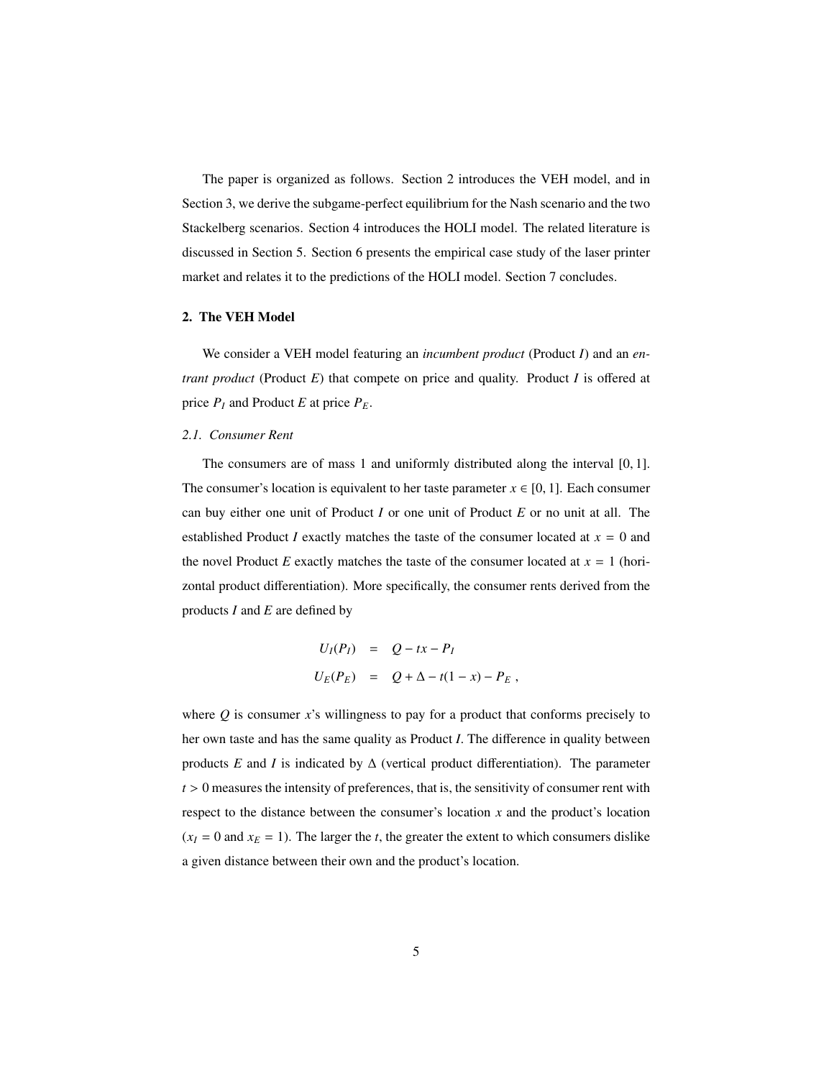The paper is organized as follows. Section 2 introduces the VEH model, and in Section 3, we derive the subgame-perfect equilibrium for the Nash scenario and the two Stackelberg scenarios. Section 4 introduces the HOLI model. The related literature is discussed in Section 5. Section 6 presents the empirical case study of the laser printer market and relates it to the predictions of the HOLI model. Section 7 concludes.

#### 2. The VEH Model

We consider a VEH model featuring an *incumbent product* (Product *I*) and an *entrant product* (Product *E*) that compete on price and quality. Product *I* is offered at price  $P_I$  and Product *E* at price  $P_E$ .

#### *2.1. Consumer Rent*

The consumers are of mass 1 and uniformly distributed along the interval [0, 1]. The consumer's location is equivalent to her taste parameter  $x \in [0, 1]$ . Each consumer can buy either one unit of Product *I* or one unit of Product *E* or no unit at all. The established Product *I* exactly matches the taste of the consumer located at  $x = 0$  and the novel Product *E* exactly matches the taste of the consumer located at  $x = 1$  (horizontal product differentiation). More specifically, the consumer rents derived from the products *I* and *E* are defined by

$$
U_I(P_I) = Q - tx - P_I
$$
  

$$
U_E(P_E) = Q + \Delta - t(1 - x) - P_E,
$$

where *Q* is consumer *x*'s willingness to pay for a product that conforms precisely to her own taste and has the same quality as Product *I*. The difference in quality between products *E* and *I* is indicated by  $\Delta$  (vertical product differentiation). The parameter  $t > 0$  measures the intensity of preferences, that is, the sensitivity of consumer rent with respect to the distance between the consumer's location *x* and the product's location  $(x_I = 0$  and  $x_E = 1$ ). The larger the *t*, the greater the extent to which consumers dislike a given distance between their own and the product's location.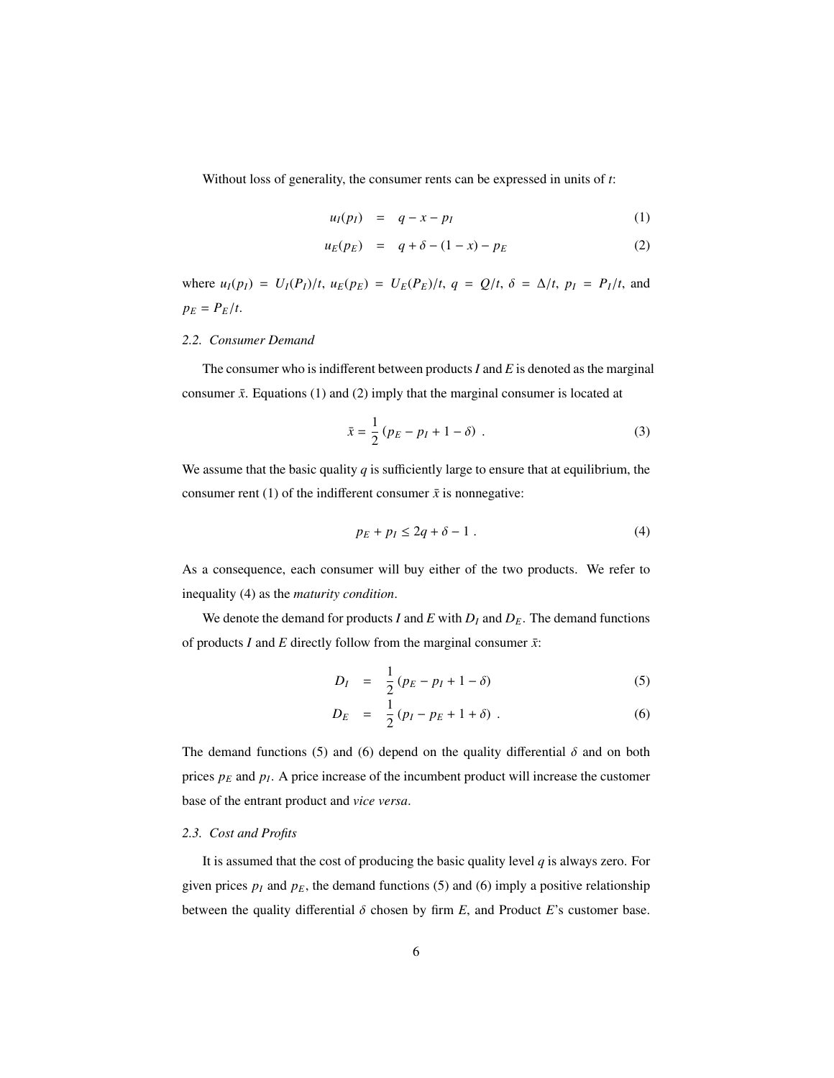Without loss of generality, the consumer rents can be expressed in units of *t*:

$$
u_I(p_I) = q - x - p_I \tag{1}
$$

$$
u_E(p_E) = q + \delta - (1 - x) - p_E \tag{2}
$$

where  $u_I(p_I) = U_I(P_I)/t$ ,  $u_E(p_E) = U_E(P_E)/t$ ,  $q = Q/t$ ,  $\delta = \Delta/t$ ,  $p_I = P_I/t$ , and  $p_E = P_E/t$ .

#### *2.2. Consumer Demand*

The consumer who is indifferent between products*I* and *E* is denoted as the marginal consumer  $\bar{x}$ . Equations (1) and (2) imply that the marginal consumer is located at

$$
\bar{x} = \frac{1}{2} (p_E - p_I + 1 - \delta) \tag{3}
$$

We assume that the basic quality *q* is sufficiently large to ensure that at equilibrium, the consumer rent (1) of the indifferent consumer  $\bar{x}$  is nonnegative:

$$
p_E + p_I \le 2q + \delta - 1 \tag{4}
$$

As a consequence, each consumer will buy either of the two products. We refer to inequality (4) as the *maturity condition*.

We denote the demand for products *I* and *E* with  $D_I$  and  $D_E$ . The demand functions of products *I* and *E* directly follow from the marginal consumer  $\bar{x}$ :

$$
D_{I} = \frac{1}{2}(p_{E} - p_{I} + 1 - \delta) \tag{5}
$$

$$
D_E = \frac{1}{2} (p_I - p_E + 1 + \delta) \tag{6}
$$

The demand functions (5) and (6) depend on the quality differential  $\delta$  and on both prices *p<sup>E</sup>* and *p<sup>I</sup>* . A price increase of the incumbent product will increase the customer base of the entrant product and *vice versa*.

#### *2.3. Cost and Profits*

It is assumed that the cost of producing the basic quality level  $q$  is always zero. For given prices  $p_I$  and  $p_E$ , the demand functions (5) and (6) imply a positive relationship between the quality differential  $\delta$  chosen by firm  $E$ , and Product  $E$ 's customer base.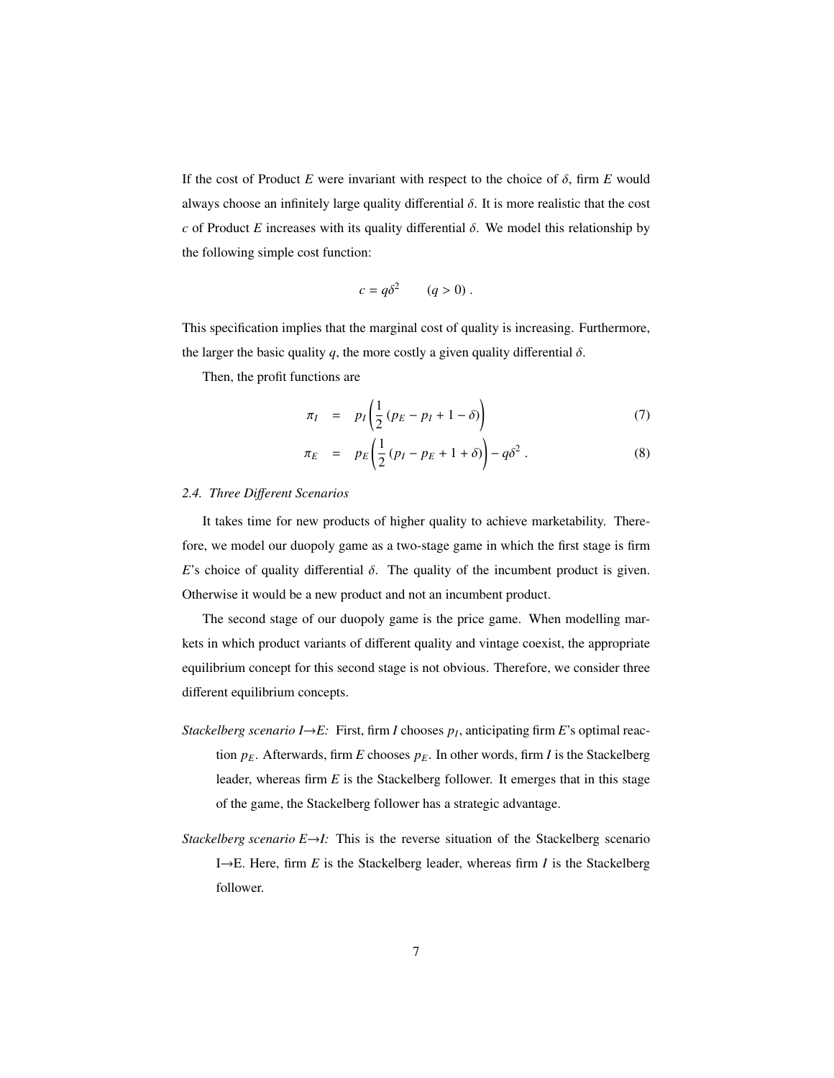If the cost of Product *E* were invariant with respect to the choice of  $\delta$ , firm *E* would always choose an infinitely large quality differential  $\delta$ . It is more realistic that the cost *<sup>c</sup>* of Product *<sup>E</sup>* increases with its quality differential δ. We model this relationship by the following simple cost function:

$$
c = q\delta^2 \qquad (q > 0) \; .
$$

This specification implies that the marginal cost of quality is increasing. Furthermore, the larger the basic quality *q*, the more costly a given quality differential  $\delta$ .

Then, the profit functions are

$$
\pi_I = p_I \left( \frac{1}{2} \left( p_E - p_I + 1 - \delta \right) \right) \tag{7}
$$

$$
\pi_E = p_E \left( \frac{1}{2} \left( p_I - p_E + 1 + \delta \right) \right) - q \delta^2 \,. \tag{8}
$$

#### *2.4. Three Di*ff*erent Scenarios*

It takes time for new products of higher quality to achieve marketability. Therefore, we model our duopoly game as a two-stage game in which the first stage is firm *E*'s choice of quality differential  $\delta$ . The quality of the incumbent product is given. Otherwise it would be a new product and not an incumbent product.

The second stage of our duopoly game is the price game. When modelling markets in which product variants of different quality and vintage coexist, the appropriate equilibrium concept for this second stage is not obvious. Therefore, we consider three different equilibrium concepts.

- *Stackelberg scenario I*→*E:* First, firm *I* chooses *p<sup>I</sup>* , anticipating firm *E*'s optimal reaction  $p_E$ . Afterwards, firm *E* chooses  $p_E$ . In other words, firm *I* is the Stackelberg leader, whereas firm *E* is the Stackelberg follower. It emerges that in this stage of the game, the Stackelberg follower has a strategic advantage.
- *Stackelberg scenario E→I:* This is the reverse situation of the Stackelberg scenario I→E. Here, firm *E* is the Stackelberg leader, whereas firm *I* is the Stackelberg follower.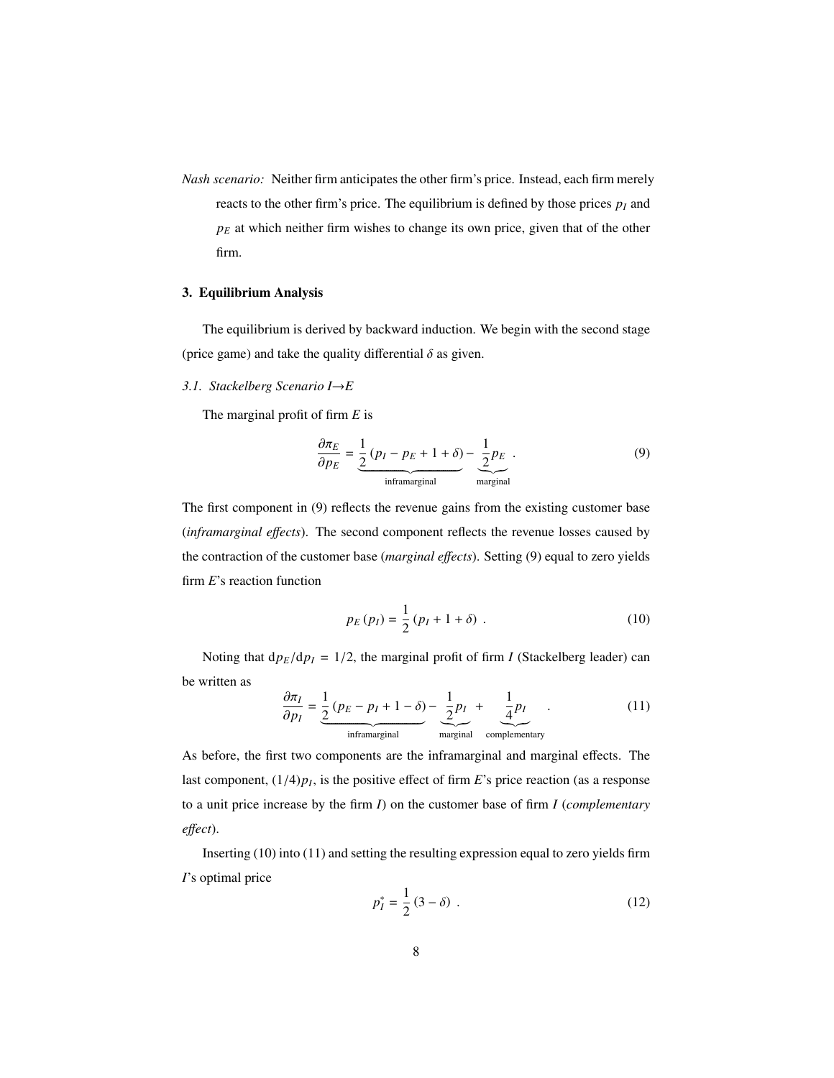*Nash scenario:* Neither firm anticipates the other firm's price. Instead, each firm merely reacts to the other firm's price. The equilibrium is defined by those prices  $p_I$  and  $p<sub>E</sub>$  at which neither firm wishes to change its own price, given that of the other firm.

#### 3. Equilibrium Analysis

The equilibrium is derived by backward induction. We begin with the second stage (price game) and take the quality differential  $\delta$  as given.

#### *3.1. Stackelberg Scenario I*→*E*

The marginal profit of firm *E* is

$$
\frac{\partial \pi_E}{\partial p_E} = \underbrace{\frac{1}{2} (p_I - p_E + 1 + \delta)}_{\text{inframarginal}} - \underbrace{\frac{1}{2} p_E}_{\text{marginal}}.
$$
\n(9)

The first component in (9) reflects the revenue gains from the existing customer base (*inframarginal e*ff*ects*). The second component reflects the revenue losses caused by the contraction of the customer base (*marginal e*ff*ects*). Setting (9) equal to zero yields firm *E*'s reaction function

$$
p_E(p_I) = \frac{1}{2} (p_I + 1 + \delta) \tag{10}
$$

Noting that  $dp_E/dp_I = 1/2$ , the marginal profit of firm *I* (Stackelberg leader) can be written as

$$
\frac{\partial \pi_I}{\partial p_I} = \underbrace{\frac{1}{2} (p_E - p_I + 1 - \delta)}_{\text{inframarginal}} - \underbrace{\frac{1}{2} p_I}_{\text{marginal}} + \underbrace{\frac{1}{4} p_I}_{\text{complementary}}.
$$
\n(11)

As before, the first two components are the inframarginal and marginal effects. The last component,  $(1/4)p_I$ , is the positive effect of firm *E*'s price reaction (as a response to a unit price increase by the firm *I*) on the customer base of firm *I* (*complementary e*ff*ect*).

Inserting (10) into (11) and setting the resulting expression equal to zero yields firm *I*'s optimal price

$$
p_I^* = \frac{1}{2} (3 - \delta) \tag{12}
$$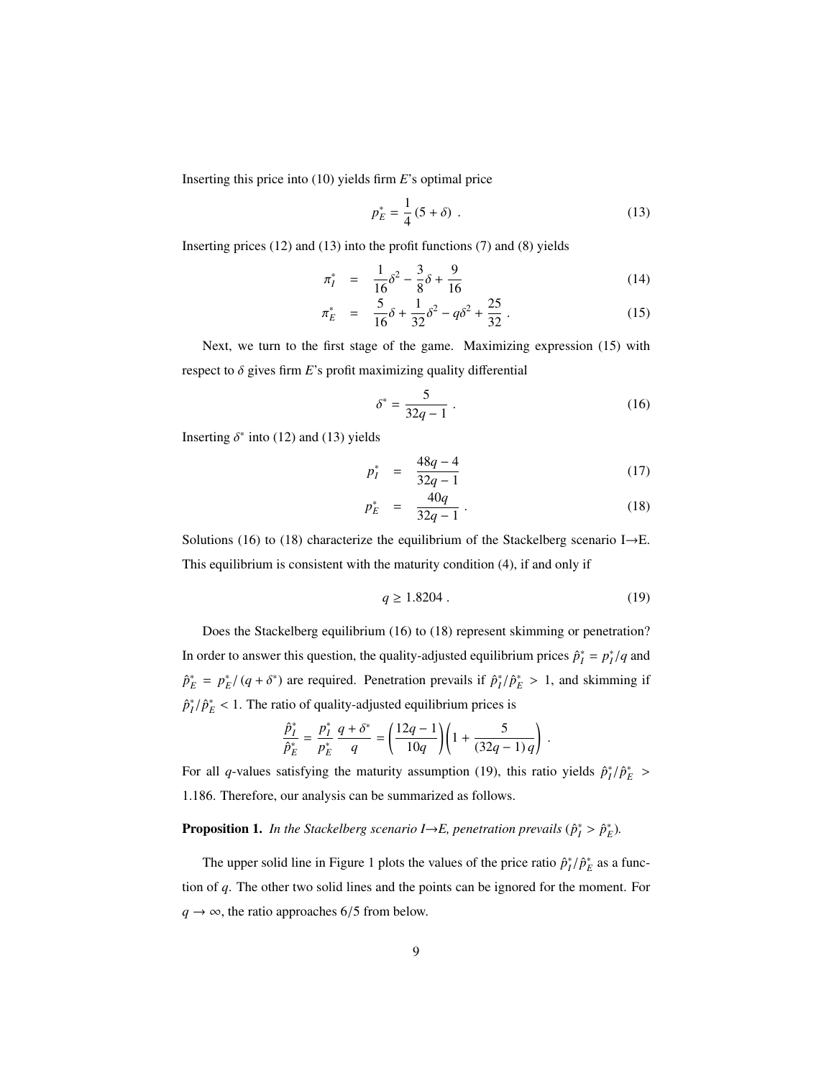Inserting this price into (10) yields firm *E*'s optimal price

$$
p_E^* = \frac{1}{4} (5 + \delta) \tag{13}
$$

Inserting prices (12) and (13) into the profit functions (7) and (8) yields

$$
\pi_I^* = \frac{1}{16}\delta^2 - \frac{3}{8}\delta + \frac{9}{16}
$$
 (14)

$$
\pi_E^* = \frac{5}{16}\delta + \frac{1}{32}\delta^2 - q\delta^2 + \frac{25}{32} \,. \tag{15}
$$

Next, we turn to the first stage of the game. Maximizing expression (15) with respect to  $\delta$  gives firm  $E$ 's profit maximizing quality differential

$$
\delta^* = \frac{5}{32q - 1} \,. \tag{16}
$$

Inserting  $\delta^*$  into (12) and (13) yields

$$
p_I^* = \frac{48q - 4}{32q - 1} \tag{17}
$$

$$
p_E^* = \frac{40q}{32q - 1} \,. \tag{18}
$$

Solutions (16) to (18) characterize the equilibrium of the Stackelberg scenario I→E. This equilibrium is consistent with the maturity condition (4), if and only if

$$
q \ge 1.8204 \tag{19}
$$

Does the Stackelberg equilibrium (16) to (18) represent skimming or penetration? In order to answer this question, the quality-adjusted equilibrium prices  $\hat{p}_I^* = p_I^* / q$  and  $\hat{p}_E^* = p_E^* / (q + \delta^*)$  are required. Penetration prevails if  $\hat{p}_I^* / \hat{p}_E^* > 1$ , and skimming if  $\hat{p}_I^*/\hat{p}_E^* < 1$ . The ratio of quality-adjusted equilibrium prices is

$$
\frac{\hat{p}_I^*}{\hat{p}_E^*} = \frac{p_I^*}{p_E^*} \frac{q + \delta^*}{q} = \left(\frac{12q - 1}{10q}\right) \left(1 + \frac{5}{(32q - 1)q}\right).
$$

For all *q*-values satisfying the maturity assumption (19), this ratio yields  $\hat{p}_I^*/\hat{p}_E^*$  > <sup>1</sup>.186. Therefore, our analysis can be summarized as follows.

**Proposition 1.** In the Stackelberg scenario  $I \rightarrow E$ , penetration prevails  $(\hat{p}_I^* > \hat{p}_E^*)$ .

The upper solid line in Figure 1 plots the values of the price ratio  $\hat{p}_I^*/\hat{p}_E^*$  as a function of *q*. The other two solid lines and the points can be ignored for the moment. For  $q \rightarrow \infty$ , the ratio approaches 6/5 from below.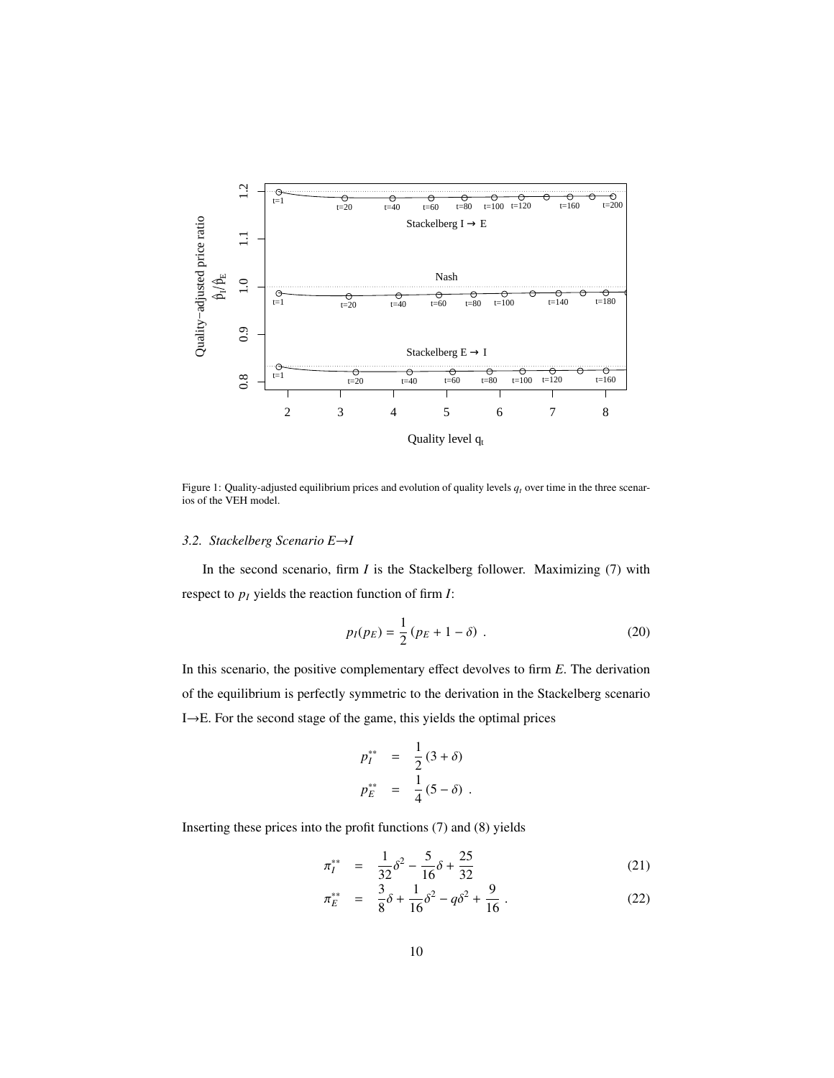

Figure 1: Quality-adjusted equilibrium prices and evolution of quality levels  $q_t$  over time in the three scenarios of the VEH model.

#### *3.2. Stackelberg Scenario E*→*I*

In the second scenario, firm *I* is the Stackelberg follower. Maximizing (7) with respect to *p<sup>I</sup>* yields the reaction function of firm *I*:

$$
p_I(p_E) = \frac{1}{2} (p_E + 1 - \delta) \tag{20}
$$

In this scenario, the positive complementary effect devolves to firm *E*. The derivation of the equilibrium is perfectly symmetric to the derivation in the Stackelberg scenario I→E. For the second stage of the game, this yields the optimal prices

$$
p_{I}^{**} = \frac{1}{2} (3 + \delta)
$$
  

$$
p_{E}^{**} = \frac{1}{4} (5 - \delta).
$$

Inserting these prices into the profit functions (7) and (8) yields

$$
\pi_I^{**} = \frac{1}{32}\delta^2 - \frac{5}{16}\delta + \frac{25}{32}
$$
 (21)

$$
\pi_E^{**} = \frac{3}{8}\delta + \frac{1}{16}\delta^2 - q\delta^2 + \frac{9}{16} \,. \tag{22}
$$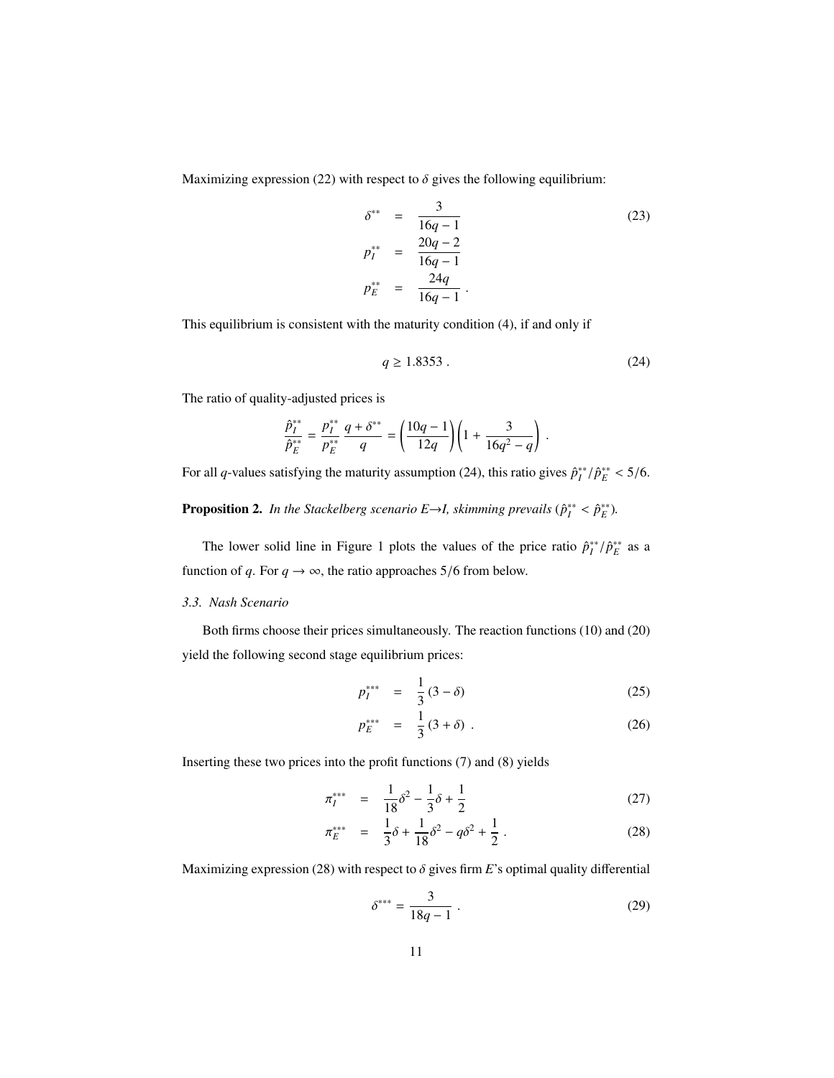Maximizing expression (22) with respect to  $\delta$  gives the following equilibrium:

$$
\delta^{**} = \frac{3}{16q - 1}
$$
\n
$$
p_1^{**} = \frac{20q - 2}{16q - 1}
$$
\n
$$
p_E^{**} = \frac{24q}{16q - 1}.
$$
\n(23)

This equilibrium is consistent with the maturity condition (4), if and only if

$$
q \ge 1.8353 \tag{24}
$$

The ratio of quality-adjusted prices is

$$
\frac{\hat{p}_I^{**}}{\hat{p}_E^{**}} = \frac{p_I^{**}}{p_E^{**}} \frac{q + \delta^{**}}{q} = \left(\frac{10q - 1}{12q}\right) \left(1 + \frac{3}{16q^2 - q}\right)
$$

For all *q*-values satisfying the maturity assumption (24), this ratio gives  $\hat{p}_I^{**}/\hat{p}_E^{**} < 5/6$ .

**Proposition 2.** In the Stackelberg scenario  $E \rightarrow I$ , skimming prevails  $(\hat{p}_I^{**} < \hat{p}_E^{**})$ .

The lower solid line in Figure 1 plots the values of the price ratio  $\hat{p}_I^{**}/\hat{p}_E^{**}$  as a function of *q*. For  $q \rightarrow \infty$ , the ratio approaches 5/6 from below.

#### *3.3. Nash Scenario*

Both firms choose their prices simultaneously. The reaction functions (10) and (20) yield the following second stage equilibrium prices:

$$
p_I^{***} = \frac{1}{3}(3-\delta) \tag{25}
$$

$$
p_E^{***} = \frac{1}{3} (3 + \delta) . \tag{26}
$$

Inserting these two prices into the profit functions (7) and (8) yields

$$
\pi_I^{***} = \frac{1}{18}\delta^2 - \frac{1}{3}\delta + \frac{1}{2}
$$
 (27)

$$
\pi_E^{***} = \frac{1}{3}\delta + \frac{1}{18}\delta^2 - q\delta^2 + \frac{1}{2}.
$$
 (28)

Maximizing expression (28) with respect to  $\delta$  gives firm  $E$ 's optimal quality differential

$$
\delta^{***} = \frac{3}{18q - 1} \tag{29}
$$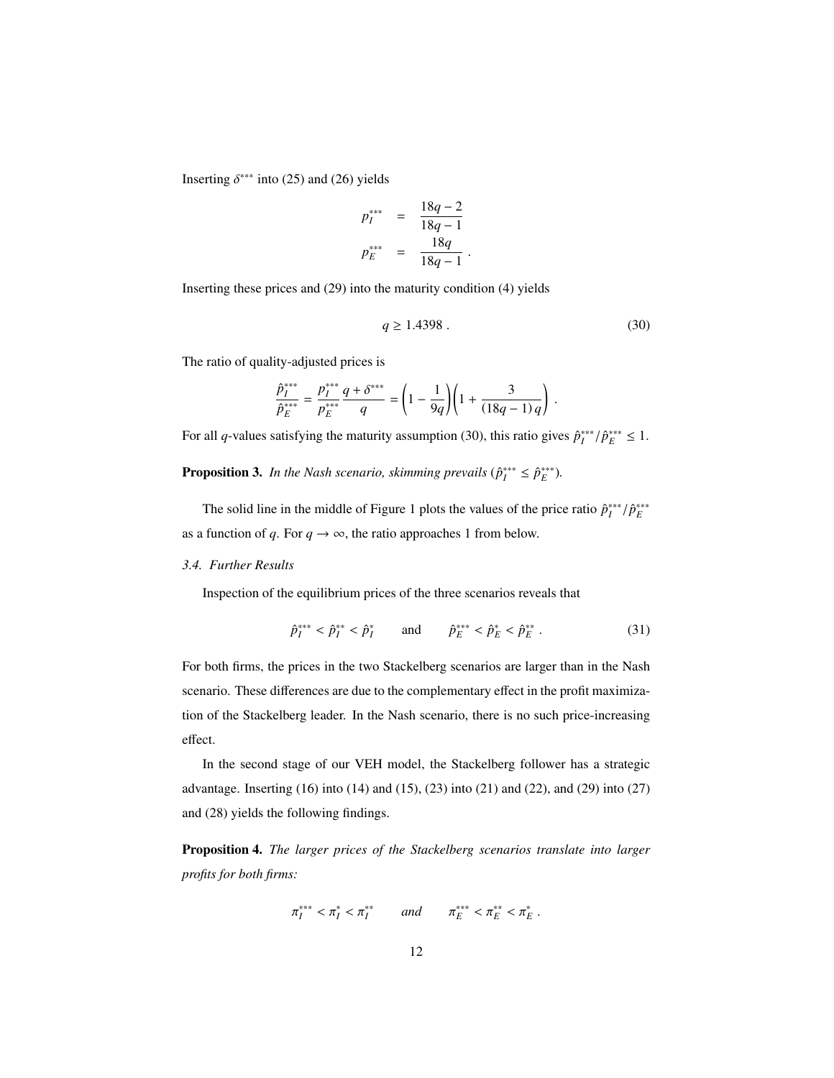Inserting  $\delta^{***}$  into (25) and (26) yields

$$
p_{I}^{***} = \frac{18q - 2}{18q - 1}
$$
  

$$
p_{E}^{***} = \frac{18q}{18q - 1}
$$

Inserting these prices and (29) into the maturity condition (4) yields

$$
q \ge 1.4398 \tag{30}
$$

The ratio of quality-adjusted prices is

$$
\frac{\hat{p}_I^{***}}{\hat{p}_E^{***}} = \frac{p_I^{***}}{p_E^{***}} \frac{q + \delta^{***}}{q} = \left(1 - \frac{1}{9q}\right) \left(1 + \frac{3}{(18q - 1)q}\right)
$$

For all *q*-values satisfying the maturity assumption (30), this ratio gives  $\hat{p}_I^{***}/\hat{p}_E^{***} \leq 1$ .

**Proposition 3.** *In the Nash scenario, skimming prevails* ( $\hat{p}_I^{***} \leq \hat{p}_E^{***}$ ).

The solid line in the middle of Figure 1 plots the values of the price ratio  $\hat{p}_{I}^{***}/\hat{p}_{E}^{***}$ as a function of *q*. For  $q \rightarrow \infty$ , the ratio approaches 1 from below.

#### *3.4. Further Results*

Inspection of the equilibrium prices of the three scenarios reveals that

$$
\hat{p}_I^{***} < \hat{p}_I^{**} < \hat{p}_I^* \qquad \text{and} \qquad \hat{p}_E^{***} < \hat{p}_E^* < \hat{p}_E^{**} \,. \tag{31}
$$

For both firms, the prices in the two Stackelberg scenarios are larger than in the Nash scenario. These differences are due to the complementary effect in the profit maximization of the Stackelberg leader. In the Nash scenario, there is no such price-increasing effect.

In the second stage of our VEH model, the Stackelberg follower has a strategic advantage. Inserting (16) into (14) and (15), (23) into (21) and (22), and (29) into (27) and (28) yields the following findings.

Proposition 4. *The larger prices of the Stackelberg scenarios translate into larger profits for both firms:*

$$
\pi_I^{***} < \pi_I^* < \pi_I^{**} \qquad and \qquad \pi_E^{***} < \pi_E^* < \pi_E^* \;.
$$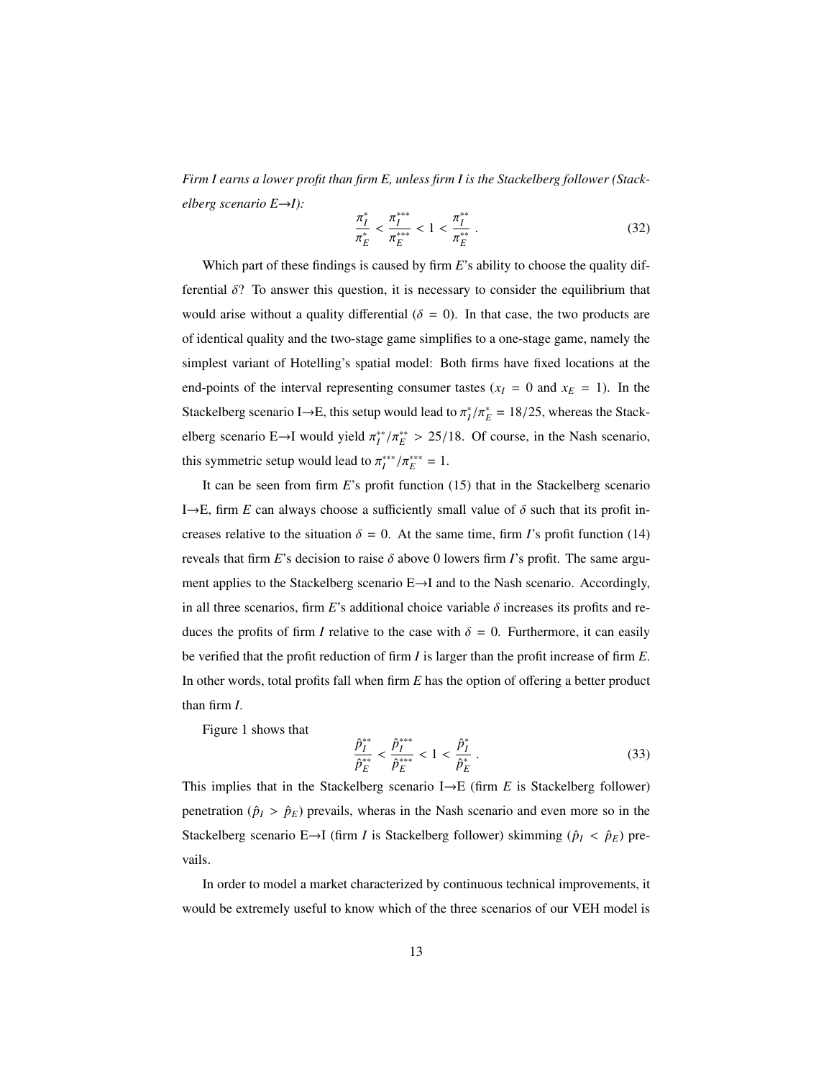*Firm I earns a lower profit than firm E, unless firm I is the Stackelberg follower (Stackelberg scenario E*→*I):*

$$
\frac{\pi_I^*}{\pi_E^*} < \frac{\pi_I^{***}}{\pi_E^{***}} < 1 < \frac{\pi_I^{**}}{\pi_E^*} \,. \tag{32}
$$

Which part of these findings is caused by firm *E*'s ability to choose the quality differential  $\delta$ ? To answer this question, it is necessary to consider the equilibrium that would arise without a quality differential ( $\delta = 0$ ). In that case, the two products are of identical quality and the two-stage game simplifies to a one-stage game, namely the simplest variant of Hotelling's spatial model: Both firms have fixed locations at the end-points of the interval representing consumer tastes  $(x_I = 0$  and  $x_E = 1)$ . In the Stackelberg scenario I→E, this setup would lead to  $\pi_I^*/\pi_E^* = 18/25$ , whereas the Stackelberg scenario E→I would yield  $\pi_I^{**}/\pi_E^{**} > 25/18$ . Of course, in the Nash scenario, this symmetric setup would lead to  $\pi_I^{***}/\pi_E^{***} = 1$ .

It can be seen from firm *E*'s profit function (15) that in the Stackelberg scenario I $\rightarrow$ E, firm *E* can always choose a sufficiently small value of  $\delta$  such that its profit increases relative to the situation  $\delta = 0$ . At the same time, firm *I*'s profit function (14) reveals that firm *E*'s decision to raise  $\delta$  above 0 lowers firm *I*'s profit. The same argument applies to the Stackelberg scenario E→I and to the Nash scenario. Accordingly, in all three scenarios, firm *E*'s additional choice variable  $\delta$  increases its profits and reduces the profits of firm *I* relative to the case with  $\delta = 0$ . Furthermore, it can easily be verified that the profit reduction of firm *I* is larger than the profit increase of firm *E*. In other words, total profits fall when firm *E* has the option of offering a better product than firm *I*.

Figure 1 shows that

$$
\frac{\hat{p}_I^{**}}{\hat{p}_E^{**}} < \frac{\hat{p}_I^{***}}{\hat{p}_E^{***}} < 1 < \frac{\hat{p}_I^*}{\hat{p}_E^*} \tag{33}
$$

This implies that in the Stackelberg scenario I→E (firm *E* is Stackelberg follower) penetration ( $\hat{p}_I > \hat{p}_E$ ) prevails, wheras in the Nash scenario and even more so in the Stackelberg scenario E→I (firm *I* is Stackelberg follower) skimming ( $\hat{p}_I < \hat{p}_E$ ) prevails.

In order to model a market characterized by continuous technical improvements, it would be extremely useful to know which of the three scenarios of our VEH model is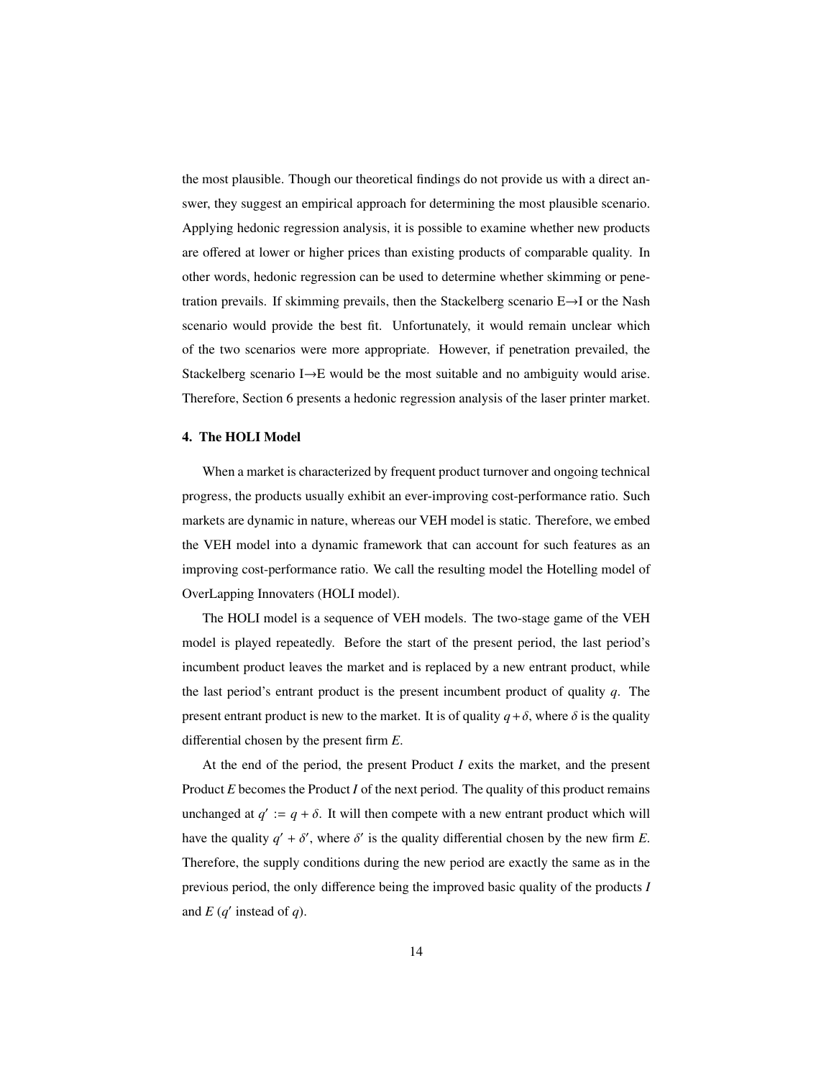the most plausible. Though our theoretical findings do not provide us with a direct answer, they suggest an empirical approach for determining the most plausible scenario. Applying hedonic regression analysis, it is possible to examine whether new products are offered at lower or higher prices than existing products of comparable quality. In other words, hedonic regression can be used to determine whether skimming or penetration prevails. If skimming prevails, then the Stackelberg scenario E→I or the Nash scenario would provide the best fit. Unfortunately, it would remain unclear which of the two scenarios were more appropriate. However, if penetration prevailed, the Stackelberg scenario I→E would be the most suitable and no ambiguity would arise. Therefore, Section 6 presents a hedonic regression analysis of the laser printer market.

#### 4. The HOLI Model

When a market is characterized by frequent product turnover and ongoing technical progress, the products usually exhibit an ever-improving cost-performance ratio. Such markets are dynamic in nature, whereas our VEH model is static. Therefore, we embed the VEH model into a dynamic framework that can account for such features as an improving cost-performance ratio. We call the resulting model the Hotelling model of OverLapping Innovaters (HOLI model).

The HOLI model is a sequence of VEH models. The two-stage game of the VEH model is played repeatedly. Before the start of the present period, the last period's incumbent product leaves the market and is replaced by a new entrant product, while the last period's entrant product is the present incumbent product of quality *q*. The present entrant product is new to the market. It is of quality  $q + \delta$ , where  $\delta$  is the quality differential chosen by the present firm *E*.

At the end of the period, the present Product *I* exits the market, and the present Product *E* becomes the Product *I* of the next period. The quality of this product remains unchanged at  $q' := q + \delta$ . It will then compete with a new entrant product which will have the quality  $q' + \delta'$ , where  $\delta'$  is the quality differential chosen by the new firm *E*. Therefore, the supply conditions during the new period are exactly the same as in the previous period, the only difference being the improved basic quality of the products *I* and  $E(q'$  instead of  $q$ ).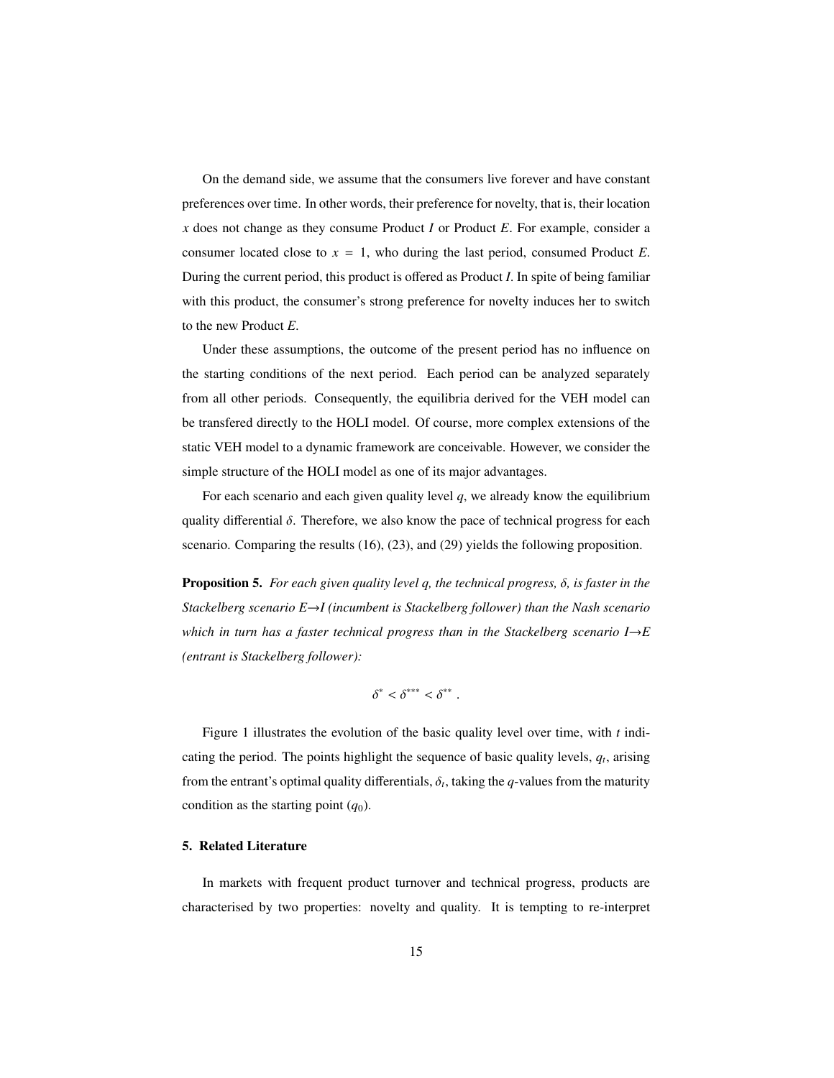On the demand side, we assume that the consumers live forever and have constant preferences over time. In other words, their preference for novelty, that is, their location *x* does not change as they consume Product *I* or Product *E*. For example, consider a consumer located close to  $x = 1$ , who during the last period, consumed Product *E*. During the current period, this product is offered as Product *I*. In spite of being familiar with this product, the consumer's strong preference for novelty induces her to switch to the new Product *E*.

Under these assumptions, the outcome of the present period has no influence on the starting conditions of the next period. Each period can be analyzed separately from all other periods. Consequently, the equilibria derived for the VEH model can be transfered directly to the HOLI model. Of course, more complex extensions of the static VEH model to a dynamic framework are conceivable. However, we consider the simple structure of the HOLI model as one of its major advantages.

For each scenario and each given quality level *q*, we already know the equilibrium quality differential  $\delta$ . Therefore, we also know the pace of technical progress for each scenario. Comparing the results (16), (23), and (29) yields the following proposition.

Proposition 5. *For each given quality level q, the technical progress,* δ*, is faster in the Stackelberg scenario E*→*I (incumbent is Stackelberg follower) than the Nash scenario which in turn has a faster technical progress than in the Stackelberg scenario I* $\rightarrow$ *E (entrant is Stackelberg follower):*

$$
\delta^* < \delta^{***} < \delta^{**} \; .
$$

Figure 1 illustrates the evolution of the basic quality level over time, with *t* indicating the period. The points highlight the sequence of basic quality levels, *q<sup>t</sup>* , arising from the entrant's optimal quality differentials,  $\delta_t$ , taking the *q*-values from the maturity condition as the starting point  $(q_0)$ .

#### 5. Related Literature

In markets with frequent product turnover and technical progress, products are characterised by two properties: novelty and quality. It is tempting to re-interpret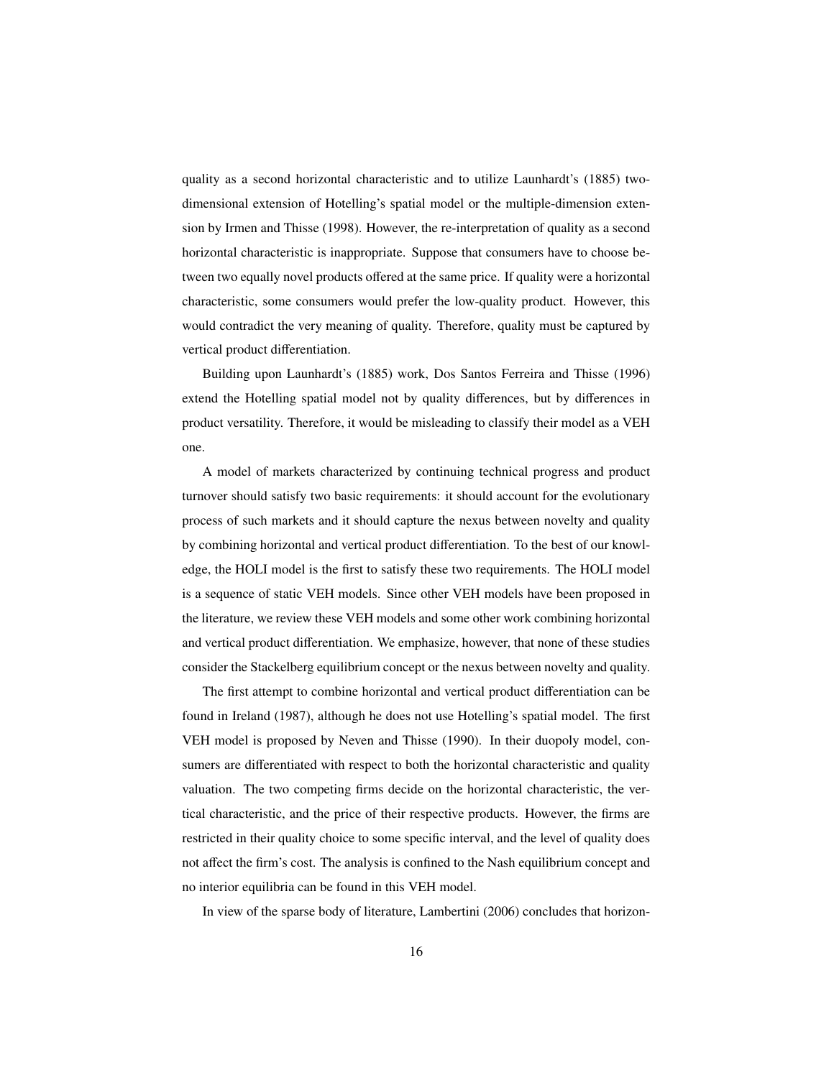quality as a second horizontal characteristic and to utilize Launhardt's (1885) twodimensional extension of Hotelling's spatial model or the multiple-dimension extension by Irmen and Thisse (1998). However, the re-interpretation of quality as a second horizontal characteristic is inappropriate. Suppose that consumers have to choose between two equally novel products offered at the same price. If quality were a horizontal characteristic, some consumers would prefer the low-quality product. However, this would contradict the very meaning of quality. Therefore, quality must be captured by vertical product differentiation.

Building upon Launhardt's (1885) work, Dos Santos Ferreira and Thisse (1996) extend the Hotelling spatial model not by quality differences, but by differences in product versatility. Therefore, it would be misleading to classify their model as a VEH one.

A model of markets characterized by continuing technical progress and product turnover should satisfy two basic requirements: it should account for the evolutionary process of such markets and it should capture the nexus between novelty and quality by combining horizontal and vertical product differentiation. To the best of our knowledge, the HOLI model is the first to satisfy these two requirements. The HOLI model is a sequence of static VEH models. Since other VEH models have been proposed in the literature, we review these VEH models and some other work combining horizontal and vertical product differentiation. We emphasize, however, that none of these studies consider the Stackelberg equilibrium concept or the nexus between novelty and quality.

The first attempt to combine horizontal and vertical product differentiation can be found in Ireland (1987), although he does not use Hotelling's spatial model. The first VEH model is proposed by Neven and Thisse (1990). In their duopoly model, consumers are differentiated with respect to both the horizontal characteristic and quality valuation. The two competing firms decide on the horizontal characteristic, the vertical characteristic, and the price of their respective products. However, the firms are restricted in their quality choice to some specific interval, and the level of quality does not affect the firm's cost. The analysis is confined to the Nash equilibrium concept and no interior equilibria can be found in this VEH model.

In view of the sparse body of literature, Lambertini (2006) concludes that horizon-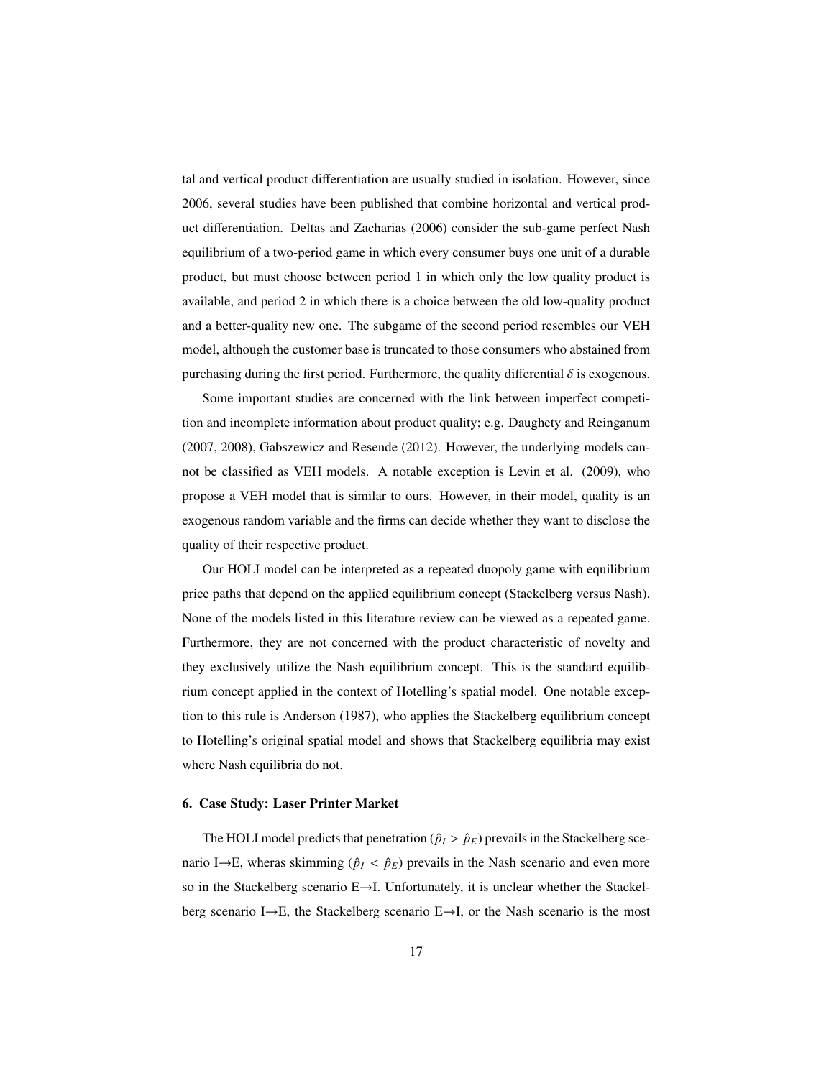tal and vertical product differentiation are usually studied in isolation. However, since 2006, several studies have been published that combine horizontal and vertical product differentiation. Deltas and Zacharias (2006) consider the sub-game perfect Nash equilibrium of a two-period game in which every consumer buys one unit of a durable product, but must choose between period 1 in which only the low quality product is available, and period 2 in which there is a choice between the old low-quality product and a better-quality new one. The subgame of the second period resembles our VEH model, although the customer base is truncated to those consumers who abstained from purchasing during the first period. Furthermore, the quality differential  $\delta$  is exogenous.

Some important studies are concerned with the link between imperfect competition and incomplete information about product quality; e.g. Daughety and Reinganum (2007, 2008), Gabszewicz and Resende (2012). However, the underlying models cannot be classified as VEH models. A notable exception is Levin et al. (2009), who propose a VEH model that is similar to ours. However, in their model, quality is an exogenous random variable and the firms can decide whether they want to disclose the quality of their respective product.

Our HOLI model can be interpreted as a repeated duopoly game with equilibrium price paths that depend on the applied equilibrium concept (Stackelberg versus Nash). None of the models listed in this literature review can be viewed as a repeated game. Furthermore, they are not concerned with the product characteristic of novelty and they exclusively utilize the Nash equilibrium concept. This is the standard equilibrium concept applied in the context of Hotelling's spatial model. One notable exception to this rule is Anderson (1987), who applies the Stackelberg equilibrium concept to Hotelling's original spatial model and shows that Stackelberg equilibria may exist where Nash equilibria do not.

#### 6. Case Study: Laser Printer Market

The HOLI model predicts that penetration ( $\hat{p}_I > \hat{p}_E$ ) prevails in the Stackelberg scenario I→E, wheras skimming ( $\hat{p}_I < \hat{p}_E$ ) prevails in the Nash scenario and even more so in the Stackelberg scenario E→I. Unfortunately, it is unclear whether the Stackelberg scenario I→E, the Stackelberg scenario E→I, or the Nash scenario is the most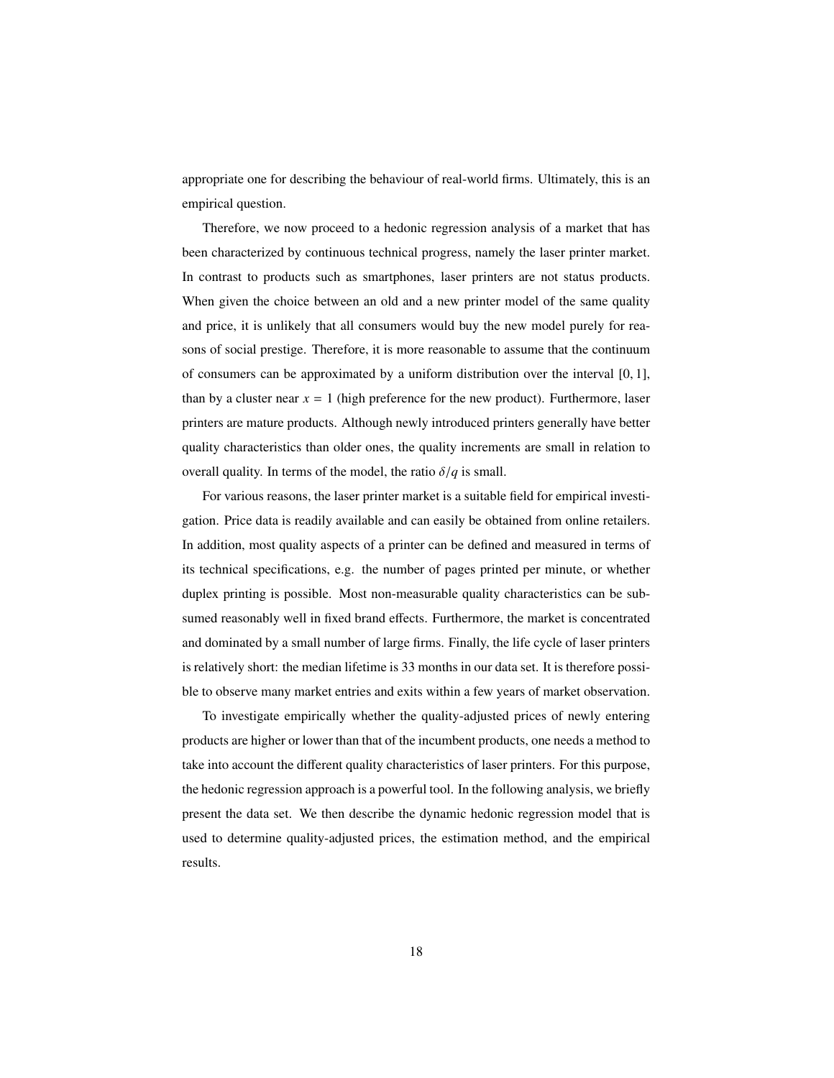appropriate one for describing the behaviour of real-world firms. Ultimately, this is an empirical question.

Therefore, we now proceed to a hedonic regression analysis of a market that has been characterized by continuous technical progress, namely the laser printer market. In contrast to products such as smartphones, laser printers are not status products. When given the choice between an old and a new printer model of the same quality and price, it is unlikely that all consumers would buy the new model purely for reasons of social prestige. Therefore, it is more reasonable to assume that the continuum of consumers can be approximated by a uniform distribution over the interval [0, 1], than by a cluster near  $x = 1$  (high preference for the new product). Furthermore, laser printers are mature products. Although newly introduced printers generally have better quality characteristics than older ones, the quality increments are small in relation to overall quality. In terms of the model, the ratio  $\delta/q$  is small.

For various reasons, the laser printer market is a suitable field for empirical investigation. Price data is readily available and can easily be obtained from online retailers. In addition, most quality aspects of a printer can be defined and measured in terms of its technical specifications, e.g. the number of pages printed per minute, or whether duplex printing is possible. Most non-measurable quality characteristics can be subsumed reasonably well in fixed brand effects. Furthermore, the market is concentrated and dominated by a small number of large firms. Finally, the life cycle of laser printers is relatively short: the median lifetime is 33 months in our data set. It is therefore possible to observe many market entries and exits within a few years of market observation.

To investigate empirically whether the quality-adjusted prices of newly entering products are higher or lower than that of the incumbent products, one needs a method to take into account the different quality characteristics of laser printers. For this purpose, the hedonic regression approach is a powerful tool. In the following analysis, we briefly present the data set. We then describe the dynamic hedonic regression model that is used to determine quality-adjusted prices, the estimation method, and the empirical results.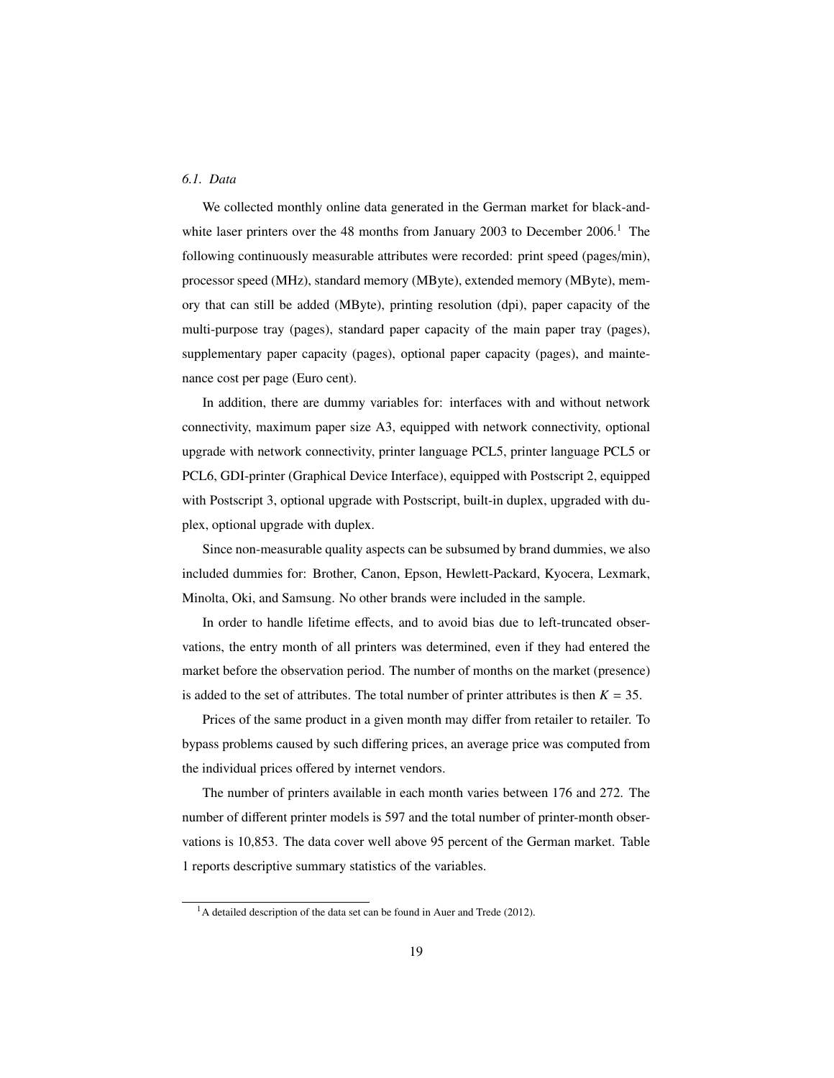#### *6.1. Data*

We collected monthly online data generated in the German market for black-andwhite laser printers over the 48 months from January 2003 to December  $2006<sup>1</sup>$ . The following continuously measurable attributes were recorded: print speed (pages/min), processor speed (MHz), standard memory (MByte), extended memory (MByte), memory that can still be added (MByte), printing resolution (dpi), paper capacity of the multi-purpose tray (pages), standard paper capacity of the main paper tray (pages), supplementary paper capacity (pages), optional paper capacity (pages), and maintenance cost per page (Euro cent).

In addition, there are dummy variables for: interfaces with and without network connectivity, maximum paper size A3, equipped with network connectivity, optional upgrade with network connectivity, printer language PCL5, printer language PCL5 or PCL6, GDI-printer (Graphical Device Interface), equipped with Postscript 2, equipped with Postscript 3, optional upgrade with Postscript, built-in duplex, upgraded with duplex, optional upgrade with duplex.

Since non-measurable quality aspects can be subsumed by brand dummies, we also included dummies for: Brother, Canon, Epson, Hewlett-Packard, Kyocera, Lexmark, Minolta, Oki, and Samsung. No other brands were included in the sample.

In order to handle lifetime effects, and to avoid bias due to left-truncated observations, the entry month of all printers was determined, even if they had entered the market before the observation period. The number of months on the market (presence) is added to the set of attributes. The total number of printer attributes is then  $K = 35$ .

Prices of the same product in a given month may differ from retailer to retailer. To bypass problems caused by such differing prices, an average price was computed from the individual prices offered by internet vendors.

The number of printers available in each month varies between 176 and 272. The number of different printer models is 597 and the total number of printer-month observations is 10,853. The data cover well above 95 percent of the German market. Table 1 reports descriptive summary statistics of the variables.

 $1<sup>1</sup>$ A detailed description of the data set can be found in Auer and Trede (2012).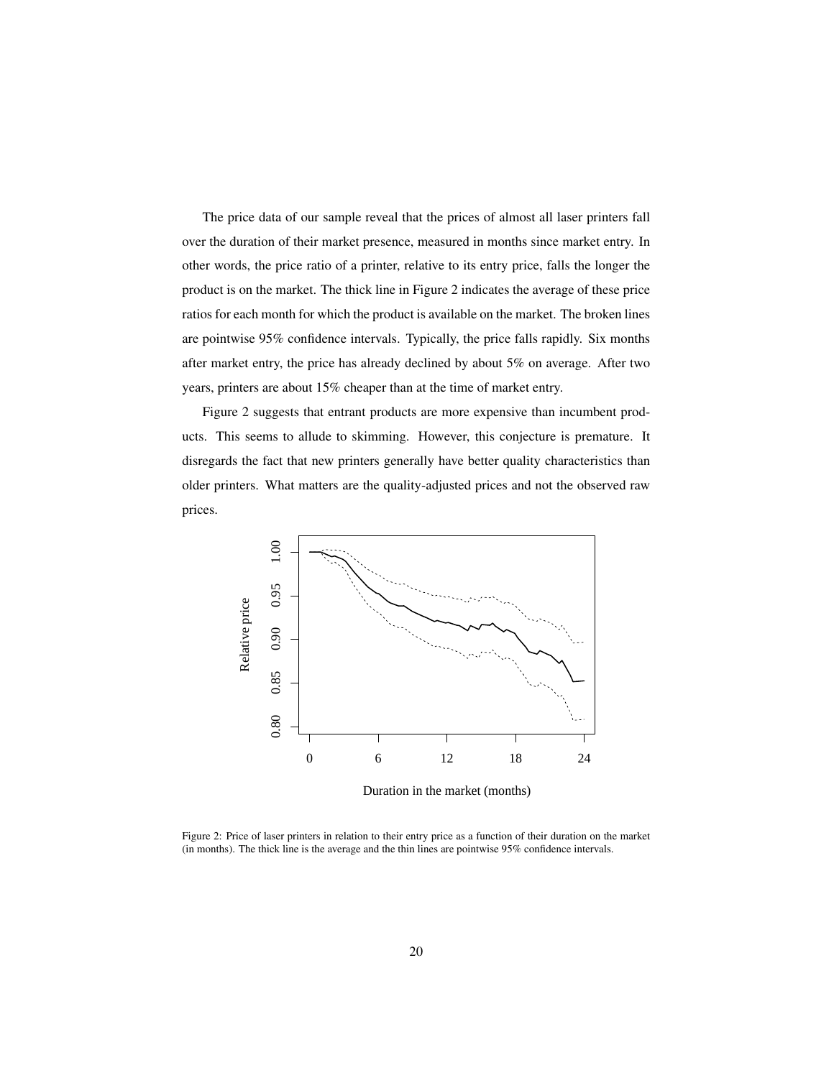The price data of our sample reveal that the prices of almost all laser printers fall over the duration of their market presence, measured in months since market entry. In other words, the price ratio of a printer, relative to its entry price, falls the longer the product is on the market. The thick line in Figure 2 indicates the average of these price ratios for each month for which the product is available on the market. The broken lines are pointwise 95% confidence intervals. Typically, the price falls rapidly. Six months after market entry, the price has already declined by about 5% on average. After two years, printers are about 15% cheaper than at the time of market entry.

Figure 2 suggests that entrant products are more expensive than incumbent products. This seems to allude to skimming. However, this conjecture is premature. It disregards the fact that new printers generally have better quality characteristics than older printers. What matters are the quality-adjusted prices and not the observed raw prices.



Duration in the market (months)

Figure 2: Price of laser printers in relation to their entry price as a function of their duration on the market (in months). The thick line is the average and the thin lines are pointwise 95% confidence intervals.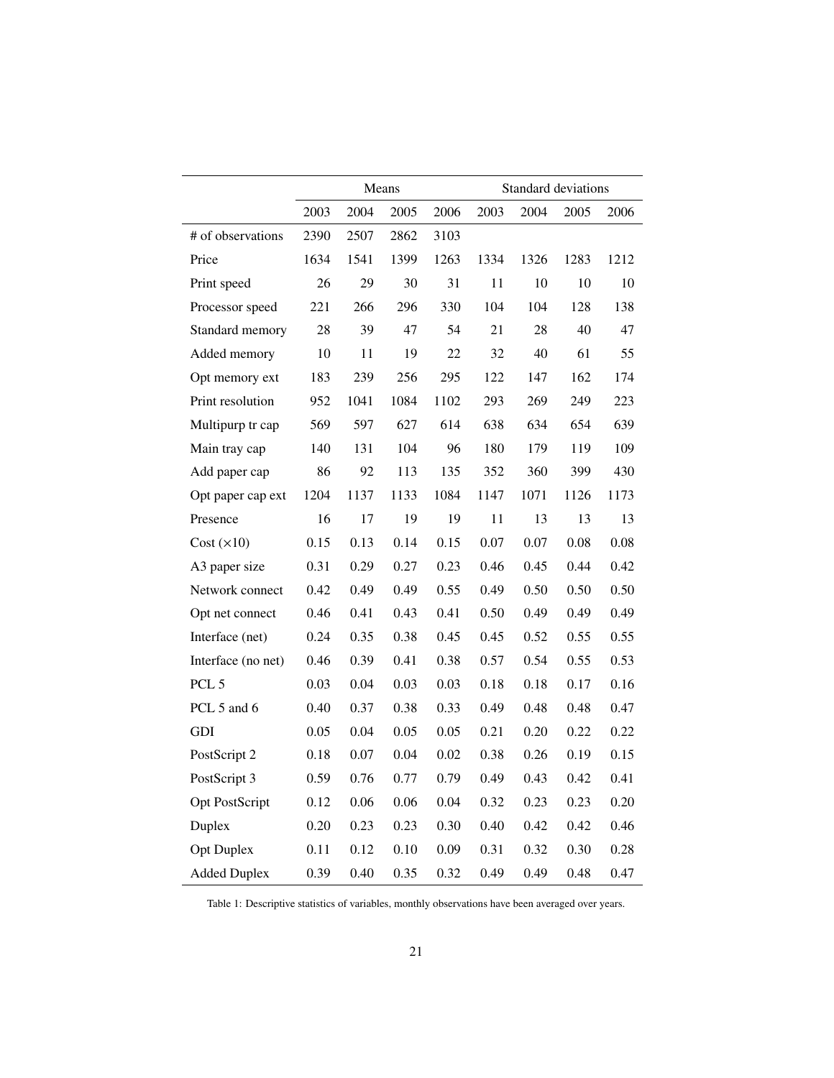|                     | Means |      |      |      | Standard deviations |      |      |      |
|---------------------|-------|------|------|------|---------------------|------|------|------|
|                     | 2003  | 2004 | 2005 | 2006 | 2003                | 2004 | 2005 | 2006 |
| # of observations   | 2390  | 2507 | 2862 | 3103 |                     |      |      |      |
| Price               | 1634  | 1541 | 1399 | 1263 | 1334                | 1326 | 1283 | 1212 |
| Print speed         | 26    | 29   | 30   | 31   | 11                  | 10   | 10   | 10   |
| Processor speed     | 221   | 266  | 296  | 330  | 104                 | 104  | 128  | 138  |
| Standard memory     | 28    | 39   | 47   | 54   | 21                  | 28   | 40   | 47   |
| Added memory        | 10    | 11   | 19   | 22   | 32                  | 40   | 61   | 55   |
| Opt memory ext      | 183   | 239  | 256  | 295  | 122                 | 147  | 162  | 174  |
| Print resolution    | 952   | 1041 | 1084 | 1102 | 293                 | 269  | 249  | 223  |
| Multipurp tr cap    | 569   | 597  | 627  | 614  | 638                 | 634  | 654  | 639  |
| Main tray cap       | 140   | 131  | 104  | 96   | 180                 | 179  | 119  | 109  |
| Add paper cap       | 86    | 92   | 113  | 135  | 352                 | 360  | 399  | 430  |
| Opt paper cap ext   | 1204  | 1137 | 1133 | 1084 | 1147                | 1071 | 1126 | 1173 |
| Presence            | 16    | 17   | 19   | 19   | 11                  | 13   | 13   | 13   |
| Cost (x10)          | 0.15  | 0.13 | 0.14 | 0.15 | 0.07                | 0.07 | 0.08 | 0.08 |
| A3 paper size       | 0.31  | 0.29 | 0.27 | 0.23 | 0.46                | 0.45 | 0.44 | 0.42 |
| Network connect     | 0.42  | 0.49 | 0.49 | 0.55 | 0.49                | 0.50 | 0.50 | 0.50 |
| Opt net connect     | 0.46  | 0.41 | 0.43 | 0.41 | 0.50                | 0.49 | 0.49 | 0.49 |
| Interface (net)     | 0.24  | 0.35 | 0.38 | 0.45 | 0.45                | 0.52 | 0.55 | 0.55 |
| Interface (no net)  | 0.46  | 0.39 | 0.41 | 0.38 | 0.57                | 0.54 | 0.55 | 0.53 |
| PCL <sub>5</sub>    | 0.03  | 0.04 | 0.03 | 0.03 | 0.18                | 0.18 | 0.17 | 0.16 |
| PCL 5 and 6         | 0.40  | 0.37 | 0.38 | 0.33 | 0.49                | 0.48 | 0.48 | 0.47 |
| <b>GDI</b>          | 0.05  | 0.04 | 0.05 | 0.05 | 0.21                | 0.20 | 0.22 | 0.22 |
| PostScript 2        | 0.18  | 0.07 | 0.04 | 0.02 | 0.38                | 0.26 | 0.19 | 0.15 |
| PostScript 3        | 0.59  | 0.76 | 0.77 | 0.79 | 0.49                | 0.43 | 0.42 | 0.41 |
| Opt PostScript      | 0.12  | 0.06 | 0.06 | 0.04 | 0.32                | 0.23 | 0.23 | 0.20 |
| Duplex              | 0.20  | 0.23 | 0.23 | 0.30 | 0.40                | 0.42 | 0.42 | 0.46 |
| <b>Opt Duplex</b>   | 0.11  | 0.12 | 0.10 | 0.09 | 0.31                | 0.32 | 0.30 | 0.28 |
| <b>Added Duplex</b> | 0.39  | 0.40 | 0.35 | 0.32 | 0.49                | 0.49 | 0.48 | 0.47 |

Table 1: Descriptive statistics of variables, monthly observations have been averaged over years.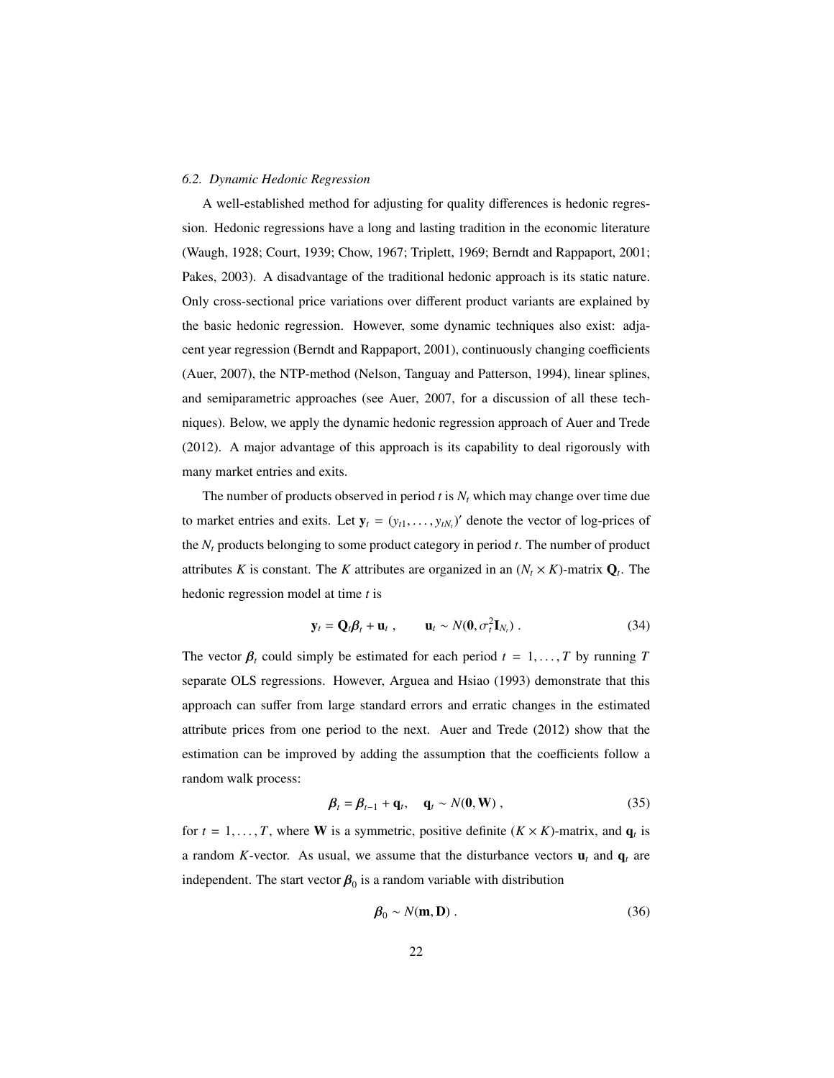#### *6.2. Dynamic Hedonic Regression*

A well-established method for adjusting for quality differences is hedonic regression. Hedonic regressions have a long and lasting tradition in the economic literature (Waugh, 1928; Court, 1939; Chow, 1967; Triplett, 1969; Berndt and Rappaport, 2001; Pakes, 2003). A disadvantage of the traditional hedonic approach is its static nature. Only cross-sectional price variations over different product variants are explained by the basic hedonic regression. However, some dynamic techniques also exist: adjacent year regression (Berndt and Rappaport, 2001), continuously changing coefficients (Auer, 2007), the NTP-method (Nelson, Tanguay and Patterson, 1994), linear splines, and semiparametric approaches (see Auer, 2007, for a discussion of all these techniques). Below, we apply the dynamic hedonic regression approach of Auer and Trede (2012). A major advantage of this approach is its capability to deal rigorously with many market entries and exits.

The number of products observed in period  $t$  is  $N_t$  which may change over time due to market entries and exits. Let  $y_t = (y_{t1}, \ldots, y_{tN_t})'$  denote the vector of log-prices of the  $N_t$  products belonging to some product category in period  $t$ . The number of product attributes *K* is constant. The *K* attributes are organized in an  $(N_t \times K)$ -matrix  $Q_t$ . The hedonic regression model at time *t* is

$$
\mathbf{y}_t = \mathbf{Q}_t \boldsymbol{\beta}_t + \mathbf{u}_t, \qquad \mathbf{u}_t \sim N(\mathbf{0}, \sigma_t^2 \mathbf{I}_{N_t}). \tag{34}
$$

The vector  $\beta_t$  could simply be estimated for each period  $t = 1, ..., T$  by running *T* separate OLS regressions. However, Arguea and Hsiao (1993) demonstrate that this approach can suffer from large standard errors and erratic changes in the estimated attribute prices from one period to the next. Auer and Trede (2012) show that the estimation can be improved by adding the assumption that the coefficients follow a random walk process:

$$
\boldsymbol{\beta}_t = \boldsymbol{\beta}_{t-1} + \mathbf{q}_t, \quad \mathbf{q}_t \sim N(\mathbf{0}, \mathbf{W})\,,\tag{35}
$$

for  $t = 1, ..., T$ , where **W** is a symmetric, positive definite  $(K \times K)$ -matrix, and  $\mathbf{q}_t$  is a random *K*-vector. As usual, we assume that the disturbance vectors  $\mathbf{u}_t$  and  $\mathbf{q}_t$  are independent. The start vector  $\beta_0$  is a random variable with distribution

$$
\mathbf{\beta}_0 \sim N(\mathbf{m}, \mathbf{D}) \,. \tag{36}
$$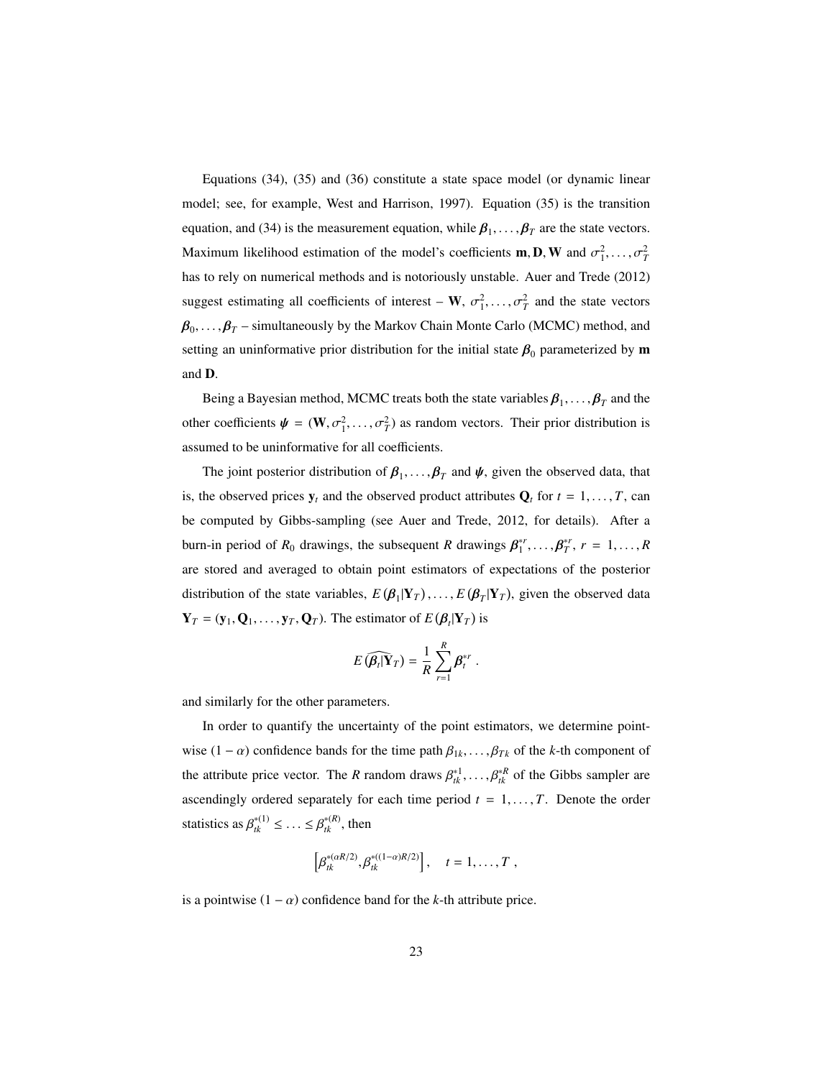Equations (34), (35) and (36) constitute a state space model (or dynamic linear model; see, for example, West and Harrison, 1997). Equation (35) is the transition equation, and (34) is the measurement equation, while  $\beta_1, \ldots, \beta_T$  are the state vectors. Maximum likelihood estimation of the model's coefficients **m**, **D**, **W** and  $\sigma_1^2, \ldots, \sigma_T^2$ has to rely on numerical methods and is notoriously unstable. Auer and Trede (2012) suggest estimating all coefficients of interest – **W**,  $\sigma_1^2, \ldots, \sigma_T^2$  and the state vectors  $\beta_0, \ldots, \beta_T$  – simultaneously by the Markov Chain Monte Carlo (MCMC) method, and setting an uninformative prior distribution for the initial state  $\beta_0$  parameterized by m and <sup>D</sup>.

Being a Bayesian method, MCMC treats both the state variables  $\beta_1, \ldots, \beta_T$  and the other coefficients  $\psi = (\mathbf{W}, \sigma_1^2, \dots, \sigma_T^2)$  as random vectors. Their prior distribution is assumed to be uninformative for all coefficients.

The joint posterior distribution of  $\beta_1, \ldots, \beta_T$  and  $\psi$ , given the observed data, that is, the observed prices  $y_t$  and the observed product attributes  $Q_t$  for  $t = 1, \ldots, T$ , can be computed by Gibbs-sampling (see Auer and Trede, 2012, for details). After a burn-in period of  $R_0$  drawings, the subsequent  $R$  drawings  $\beta_1^{*r}, \ldots, \beta_n^{*r}$ ∗*r T* , *<sup>r</sup>* <sup>=</sup> <sup>1</sup>, . . . , *<sup>R</sup>* are stored and averaged to obtain point estimators of expectations of the posterior distribution of the state variables,  $E(\beta_1 | Y_T)$ ,...,  $E(\beta_T | Y_T)$ , given the observed data  $\mathbf{Y}_T = (\mathbf{y}_1, \mathbf{Q}_1, \dots, \mathbf{y}_T, \mathbf{Q}_T)$ . The estimator of  $E(\beta_t | \mathbf{Y}_T)$  is

$$
E\left(\widehat{\boldsymbol{\beta}_t|\mathbf{Y}_T}\right)=\frac{1}{R}\sum_{r=1}^R\boldsymbol{\beta}_t^{*r}.
$$

and similarly for the other parameters.

In order to quantify the uncertainty of the point estimators, we determine pointwise  $(1 - \alpha)$  confidence bands for the time path  $\beta_{1k}, \ldots, \beta_{Tk}$  of the *k*-th component of the attribute price vector. The *R* random draws  $\beta_{tk}^{*1}, \ldots, \beta_{tk}^{*R}$  of the Gibbs sampler are ascendingly ordered separately for each time period  $t = 1, \ldots, T$ . Denote the order statistics as  $\beta_{tk}^{*(1)} \leq \ldots \leq \beta_{tk}^{*(R)}$ , then

$$
\left[\beta_{tk}^{*(\alpha R/2)},\beta_{tk}^{*((1-\alpha)R/2)}\right], \quad t=1,\ldots,T,
$$

is a pointwise  $(1 - \alpha)$  confidence band for the *k*-th attribute price.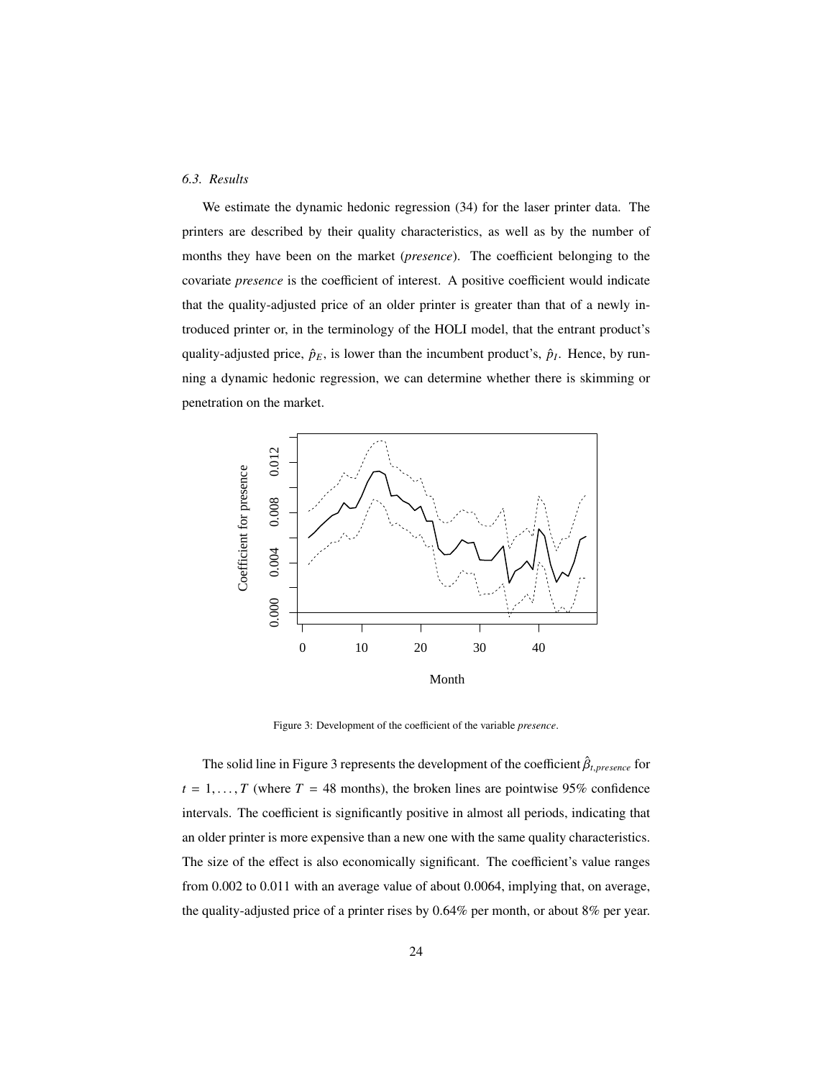#### *6.3. Results*

We estimate the dynamic hedonic regression (34) for the laser printer data. The printers are described by their quality characteristics, as well as by the number of months they have been on the market (*presence*). The coefficient belonging to the covariate *presence* is the coefficient of interest. A positive coefficient would indicate that the quality-adjusted price of an older printer is greater than that of a newly introduced printer or, in the terminology of the HOLI model, that the entrant product's quality-adjusted price,  $\hat{p}_E$ , is lower than the incumbent product's,  $\hat{p}_I$ . Hence, by running a dynamic hedonic regression, we can determine whether there is skimming or penetration on the market.



Figure 3: Development of the coefficient of the variable *presence*.

The solid line in Figure 3 represents the development of the coefficient  $\hat{\beta}_{t, presence}$  for  $t = 1, \ldots, T$  (where  $T = 48$  months), the broken lines are pointwise 95% confidence intervals. The coefficient is significantly positive in almost all periods, indicating that an older printer is more expensive than a new one with the same quality characteristics. The size of the effect is also economically significant. The coefficient's value ranges from 0.002 to 0.011 with an average value of about 0.0064, implying that, on average, the quality-adjusted price of a printer rises by 0.64% per month, or about 8% per year.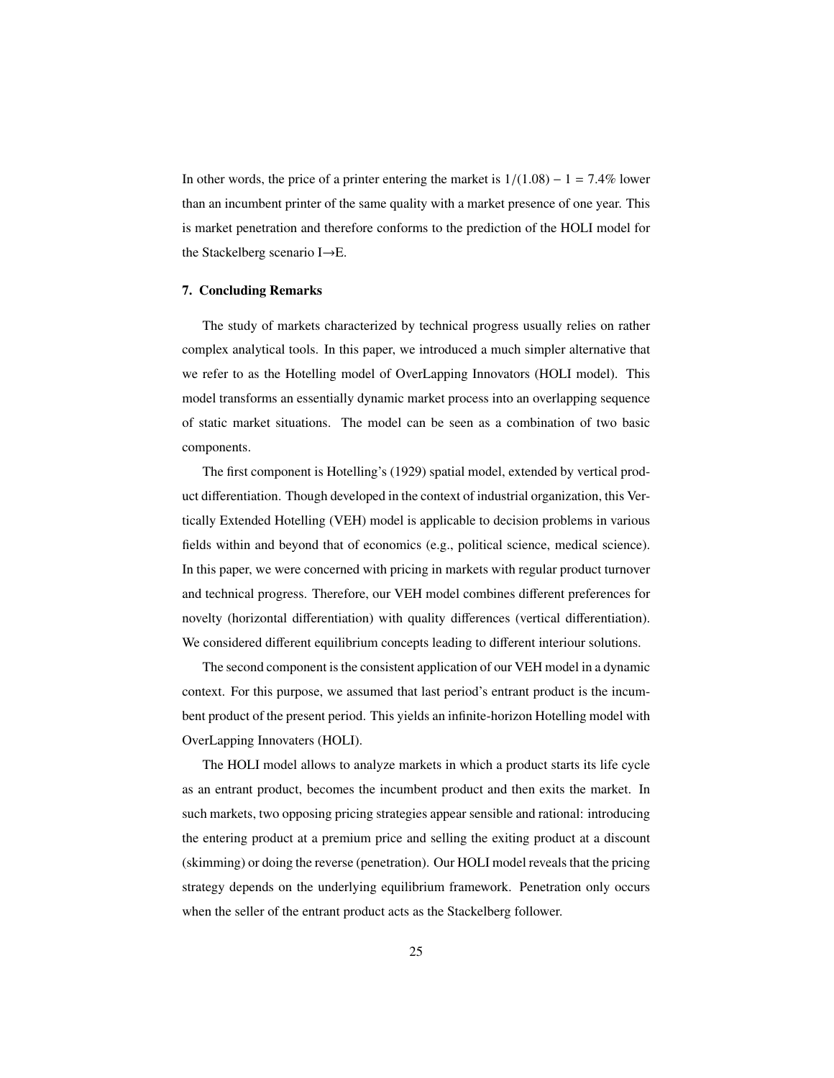In other words, the price of a printer entering the market is  $1/(1.08) - 1 = 7.4\%$  lower than an incumbent printer of the same quality with a market presence of one year. This is market penetration and therefore conforms to the prediction of the HOLI model for the Stackelberg scenario I→E.

#### 7. Concluding Remarks

The study of markets characterized by technical progress usually relies on rather complex analytical tools. In this paper, we introduced a much simpler alternative that we refer to as the Hotelling model of OverLapping Innovators (HOLI model). This model transforms an essentially dynamic market process into an overlapping sequence of static market situations. The model can be seen as a combination of two basic components.

The first component is Hotelling's (1929) spatial model, extended by vertical product differentiation. Though developed in the context of industrial organization, this Vertically Extended Hotelling (VEH) model is applicable to decision problems in various fields within and beyond that of economics (e.g., political science, medical science). In this paper, we were concerned with pricing in markets with regular product turnover and technical progress. Therefore, our VEH model combines different preferences for novelty (horizontal differentiation) with quality differences (vertical differentiation). We considered different equilibrium concepts leading to different interiour solutions.

The second component is the consistent application of our VEH model in a dynamic context. For this purpose, we assumed that last period's entrant product is the incumbent product of the present period. This yields an infinite-horizon Hotelling model with OverLapping Innovaters (HOLI).

The HOLI model allows to analyze markets in which a product starts its life cycle as an entrant product, becomes the incumbent product and then exits the market. In such markets, two opposing pricing strategies appear sensible and rational: introducing the entering product at a premium price and selling the exiting product at a discount (skimming) or doing the reverse (penetration). Our HOLI model reveals that the pricing strategy depends on the underlying equilibrium framework. Penetration only occurs when the seller of the entrant product acts as the Stackelberg follower.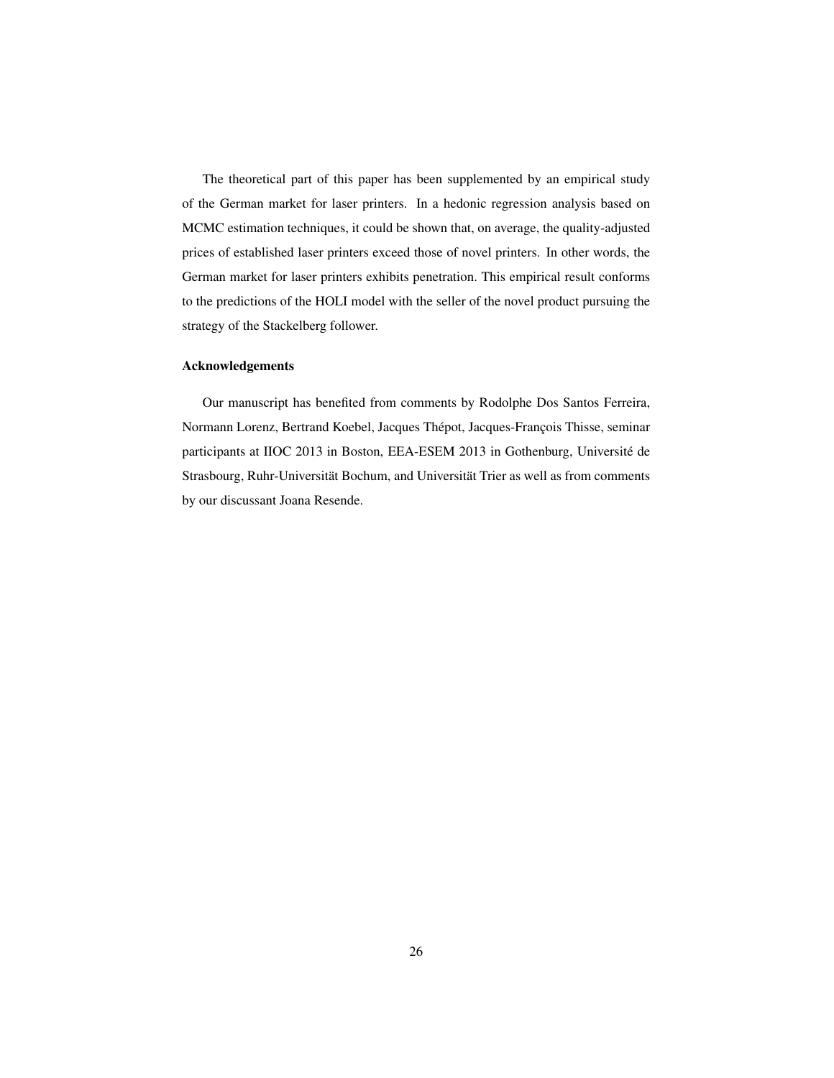The theoretical part of this paper has been supplemented by an empirical study of the German market for laser printers. In a hedonic regression analysis based on MCMC estimation techniques, it could be shown that, on average, the quality-adjusted prices of established laser printers exceed those of novel printers. In other words, the German market for laser printers exhibits penetration. This empirical result conforms to the predictions of the HOLI model with the seller of the novel product pursuing the strategy of the Stackelberg follower.

#### Acknowledgements

Our manuscript has benefited from comments by Rodolphe Dos Santos Ferreira, Normann Lorenz, Bertrand Koebel, Jacques Thépot, Jacques-François Thisse, seminar participants at IIOC 2013 in Boston, EEA-ESEM 2013 in Gothenburg, Universite de ´ Strasbourg, Ruhr-Universität Bochum, and Universität Trier as well as from comments by our discussant Joana Resende.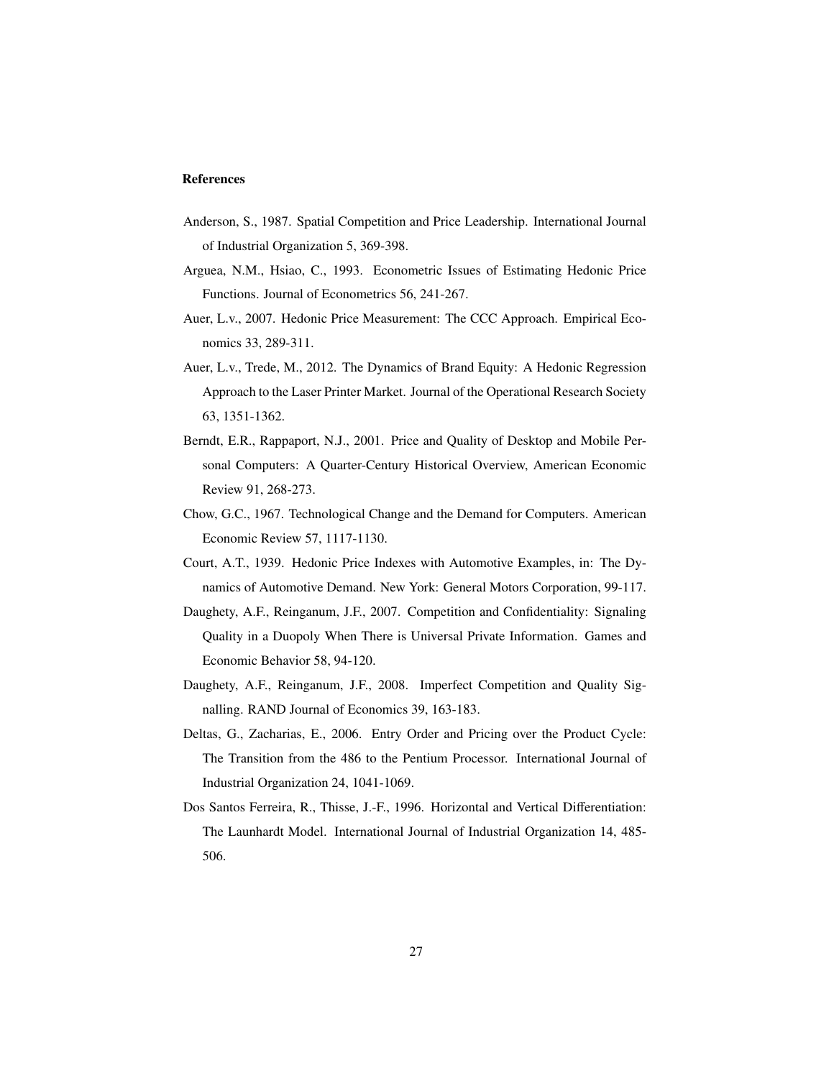#### References

- Anderson, S., 1987. Spatial Competition and Price Leadership. International Journal of Industrial Organization 5, 369-398.
- Arguea, N.M., Hsiao, C., 1993. Econometric Issues of Estimating Hedonic Price Functions. Journal of Econometrics 56, 241-267.
- Auer, L.v., 2007. Hedonic Price Measurement: The CCC Approach. Empirical Economics 33, 289-311.
- Auer, L.v., Trede, M., 2012. The Dynamics of Brand Equity: A Hedonic Regression Approach to the Laser Printer Market. Journal of the Operational Research Society 63, 1351-1362.
- Berndt, E.R., Rappaport, N.J., 2001. Price and Quality of Desktop and Mobile Personal Computers: A Quarter-Century Historical Overview, American Economic Review 91, 268-273.
- Chow, G.C., 1967. Technological Change and the Demand for Computers. American Economic Review 57, 1117-1130.
- Court, A.T., 1939. Hedonic Price Indexes with Automotive Examples, in: The Dynamics of Automotive Demand. New York: General Motors Corporation, 99-117.
- Daughety, A.F., Reinganum, J.F., 2007. Competition and Confidentiality: Signaling Quality in a Duopoly When There is Universal Private Information. Games and Economic Behavior 58, 94-120.
- Daughety, A.F., Reinganum, J.F., 2008. Imperfect Competition and Quality Signalling. RAND Journal of Economics 39, 163-183.
- Deltas, G., Zacharias, E., 2006. Entry Order and Pricing over the Product Cycle: The Transition from the 486 to the Pentium Processor. International Journal of Industrial Organization 24, 1041-1069.
- Dos Santos Ferreira, R., Thisse, J.-F., 1996. Horizontal and Vertical Differentiation: The Launhardt Model. International Journal of Industrial Organization 14, 485- 506.